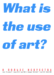# *8IBUJT*

# *UIFVTF*

# *PGBSU*

# газета "Что делать?" / выпуск 01-25 / март 2009 /// newspaper "Chto Delat?" / issue 01-25 / March 2009 **b** 3 E M C K Y C C T B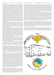# A lexey Penzin – Dmitry Vilensky /// What's the Use?

**Dmitry Vilensky:** The theme of our number is formulated in the style of "crude thought," which often asks art or critical reflection a simple question: "What's the use of what you do?" This question can, of course, provoke a quite negative reaction: it might be regarded as completely out of bounds, naive or just meaningless. If we take a closer look, however, we'll find that it is both legitimate and essential. It is clear that when we analyze it, we arrive at the traditional problem of the difference between the exchange and use values of everything produced by human activity. Today, we can hardly take seriously the idea that art's importance has to do with its anti-functionality, with its eluding attempts to instrumentalize it on the part of the culture industry or direct political action. The idea of the modernist object's "silence" is merely reinforced by the astronomically high price it commands on the market. The idea that art should dissolve into life, that it should be totally abolished in favor of daily life's most basic functions, can likewise hardly be taken seriously. Based on the opposition between "to have" and "to be," this old rhetoric risks descending into pure moralizing. How can we today find a way to continue not only the project of *Bildung*—the process of individual development via aesthetic education (despite all the obvious sympathy for it)—but also find a new continuation for the project of art and thought as a "coming out under the open sky of the sense of solidarity" (Schiller)? From Schiller's time on, the goal of art as aesthetic education was the harmonious development of the individual, the formation of a whole man capable of creativity. This concept, however, was oriented toward the individual bourgeois subject: in the final analysis, it leads to the formation of the egoistic individual. It is clear that a return to this concept today would be reactionary, which is exactly what the last Documenta proved.

Can we share these sentiments today? And where today can we find a way to continue the project of proletarian art? On the one hand, we are living during the prolonged transition to post-Fordism and knowledge capitalism. The farewell to the conveyor belt unties our hands—but where today is that factory the Productionists dreamed of? What once upon a time was a source of hope for progress and emancipation turned out, historically, to be a reactionary phenomenon that had to be overcome. The formation of "new social subjects," whose analysis Italian operaismo undertook in the sixties, is the complete opposite of what the Productionists hoped for. The natural exodus of workers from the factory began, and along with it the "assembly line/collectivist" model of subject formation and the forms of its political organization also began to collapse. Where today can we find that factory, or those means of production, whose seizure would supply us with a maximally precise emancipatory impulse?

At the same time, I think that there is a general consensus about Andre Gorz's statement that today's decisive battle is shaping up around the production of subjectivity. This statement brings us back to an important starting point for this number—the analysis of Soviet Productionism, which in the starkest form posed the question of a program of "life-construction." As Boris Arvatov declared in his book *Art and Production*, "Art as an immediate and deliberately employed instrument of life-construction: such is the formula for the existence of proletarian art."

Today this factory is ubiquitous. The development of capitalism allows us to see the production of false subjectivity in the totality of capital's practices, which are now realized everywhere: in the thick of daily life, in institutes of culture, in the very networks of social interaction. The factory is *nowhere* and *everywhere*. It is this understanding that opens up new zones of struggle, not simply for non-alienated labor and knowledge, but also for desubjectivation and the break with labor.

AP: Here I need to make a didactic and, at the same time, investigative digression into the field of contemporary philosophy, which tries to answer quite ancient questions. We should begin with one of the "stone tablets" of radical leftist thought. Marx's Eleventh Thesis on Feuerbach states: "Philosophers have hitherto only *interpreted* the world in various ways; the point is to *change* it." This is usually understood to mean that Marx is breaking with the tradition of speculative, idealist philosophy by introducing the dimension of praxis, the transformation of reality. However, as Marx emphasizes, it is important to keep in mind that, during the historical process that forms the structures of production, the subject itself will also be transformed along with the object, with nature. Therefore, according to a widespread opinion, Marx leaves behind philosophy as reflection and enters the realm of politics and history. He thus becomes something like an "antiphilosopher." In fact, however, Marx does not break with philosophy. On the contrary, he rediscovers its fundamental practical vocation, which dates to Greek philosophy, on a new level.

In this new situation, although I have a clear sense that many activists don't understand this, I'm not afraid to say that, as never before, we need *another* kind of knowledge and art. We need it as we need clean air: we need it to produce "oxygen" in an atmosphere totally polluted by the byproducts of the "creative industries." But what should this knowledge/art look like? Where is the place that it can be useful and meaningful?

**Alexei Penzin:** I have been interested in a similar set of questions lately—in regards to theory, or rather, philosophy. On the one hand, this is connected with the experience of interaction within our group and on our platform, where philosophers, artists, and activists sometimes find an almost elusive and hard-to-define but quite effective "working model." On the other hand, these questions are provoked by the overall situation in contemporary cultural production. Here we see a kind of overproduction of theory, as well as the staging of this theory as a decorative "appendix" to artistic and activist events (i.e., theoretical conferences as discursive platforms for all manner of biennials, major exhibitions, social forums, etc.)

We might find a key to a contemporary understanding of the Eleventh Thesis in Michel Foucault's late-period works on the "care of the self" or in the work of another thinker, Pierre Hadot, a specialist on antiquity. He advanced the concept of "philosophy as a way of life" and "spiritual exercise." Although the term "spiritual" now sounds dubious, Hadot examines it in a wholly materialistic way. He means that "spiritual" practices relate to the entire realm of subjectivity (intellect, affect, will, desire, body, etc.). Foucault was in dialogue with the work of Hadot during the final years of his life. Unlike the now extremely popular theory of "biopolitics," Foucault's late period is of little interest to the radical and critical communities. Moreover, his later ideas about "practices of the self" run the risk of being interpreted by the right in the spirit of progressive liberal individualism or, even worse, of being appropriated by conservative seekers after "spirituality." They are also sometimes practically taken as examples of "resignation," reconciliation with existence, where a focus on personal autonomy, on stoical "autarky" is seen as the solution. Or they are seen as a species of "neodandyism," that is, if we proceed from Foucault's concluding aphorism about "life as a work of art."

We can observe numerous instances of the overproduction, commercialization, and "decorativeness" of theory—for example, quite scholarly but secondary texts chockablock with citations of the most "fashionable" names and texts, or all those thick but incomprehensible catalogues and "theoretical documents" published in connection with art projects. This is not even to mention the assembly line at work in theory's standard zone of academia, where cognitive capitalism's production of knowledge is carried out with the same competitive gusto and intensity as the production of irons, TV sets or weapons. All this is crowned by a system of intellectual "superstars," who, even when they take quite radical, critical stances, are unable to resist their quite decorative function as thinkers and "keynote speakers" at an endless series of seminars and conferences. So this is my question: what could be the real (not decorative) utility of theory and philosophy? This question really does appear naive. We will be told that theory explains to us what happens; it enables us to recognize our place in the configuration of political and social reality, to identify vectors of impact and struggle. But this obvious argument is situated on the level of the *object*, of the world that theory is meant to interpret. At the same time, it is not always clear how this works vis-à-vis the specific subjectivities that create the "demand" for theory. What is the use of theory and philosophy for you, Dima, or for me, for all those people who work as "professionals" in this eld or who have a need for this knowledge in their work as activists or artists?

**DV:** In order to get at a preliminary answer to this question, I would note that we shouldn't separate discourse (theory) from artistic practice and political innovation. My answer is simple: knowledge should be/is unified. Theory-the concept-is an organic element of art, and aesthetic experience is a necessary component of theoretical reflection. That is, inspiration doesn't recognize the category of genre. A quotation, a painting or a song can inspire me. What matters is what this state of inspiration becomes.

**DV:** I'd like to interrupt you here. I agree that these interpretations are quite banal statements that anyone could take up, and they're quite vulnerable to criticism. I would say that today as never before we need to insist that there are values that are much more important than the value of an individual, finite life, and I make this assertion first and foremost about myself. I think that Badiou is right when he radically critiques the bases of individual consciousness and calls on us to adopt new forms of fearlessness and self-denial. Do you remember the passage about "courage" in the book about Sarkozy? We don't need life as a work of art, or the work of art as life. We need a total reassessment of what art can give us and how it becomes part of our everyday life.

**AP:** I agree. I will say something about Badiou's theory of the subject a bit later. It is vital to place Foucault and Hadot's research in the correct context of revolutionary practice: then they might present themselves to us in an utterly new aspect. In essence, Foucault gives us all the keys to a "leftist" interpretation of his work in his lecture course "Hermeneutics of the Subject." Of course it would be absurd to discuss this entire complex problematic in this introductory dialogue, but I

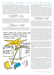# Art, Philosophy, and Subject Formation. A Chto Delat dialogue

will try to sketch a practical schema that might prove useful, and not just to "theorists."

What are "practices of the self" per Foucault, or philosophical "exercises," as Hadot calls them? They are quite concrete things, and they're far from abstract flights of speculative thought. They are particular techniques that were transmitted within certain Hellenistic philosophical schools. They included, for example, meditation, constant attention to one's own subjectivity, awareness, control over inner speech, deliberate cultivation of habits, written self-evaluations, concentration on the present moment. But they also included practices of care for others, practices that are impossible without "care of the self": a dialogical relationship to the interlocutor, the desire to change his position during the course of the conversation, pedagogy, etc. The revolutionary aspect of "practices of the self" has to do with the fact that they open the way to a radical transformation of the subject, to a spasmodic alteration of the subject, which the ancient Greeks called *metanoia*, "change of mind." As Foucault never tires of repeating, only this change gives the subject access to the truth. On the other hand, there is also a reverse effect that the truth has on the subject as it transfigures and "illuminates" it. This is the cycle of subjectivity formation. (See the following diagrams, in which *S* designates subjectivity, and *S'* stands for its new form, the result of these changes.)

Of course, the old individualist schema of subjectivation is superimposed on the new, collective schema, and thus makes it easier to understand. For example, if we compare revolution with *metanoia*, we discover many characteristic traits. Hadot describes the transformation of the subject as occurring along two vectors: the return to certain basic foundations of subjectivity, the totality of its history, and, subsequently, its transformation. We find this trait in



### *Practice of the self (exercise) Truth*  **S ======================> S'**  *Subjectivity formation Metanoia*

Thus, returning to Marx (whose dissertation was on the ancient philosophers Epicurus and Democritus), we might argue that he transfers the ancient philosophical practice of subject-formation into the collective dimension. It is telling that, in his dissertation, Marx underscores the significance of the "subjective form"—"the spiritual carrier of the philosophical systems, which has until now been almost entirely ignored in favor of their metaphysical characteristics." I would not say that Marx "discovered" praxis; rather, he reinvented it on a new basis. Individual "exercises" are replaced by social practice, which leads to the formation of class subjectivity and revolution, which takes the place formerly occupied by *metanoia* in this schema.

| Social practice                   | Communism  |
|-----------------------------------|------------|
| S ===========================> S' |            |
| Formation of class subjectivity   | Revolution |

revolutionary experience as well: the leap into the past, when the entire previous history of oppression is reanimated and made relevant. This is followed by a repressive withdrawal and then a decisive transformation of the past.

The question is how this schema of subjectivation is changing today. It is obvious that, during our time of reaction, depoliticization, and atomization, the formation of class subjectivity has malfunctioned. Foucault's turn to antiquity as a project for reevaluating the instruments of subject formation was—in mediated fashion, of course—symptomatic of this. How can we continue this line of thought today from a leftist political perspective? As an experiment, we might hypothesize that the concept of "multitudes," the new social subjects posited by Italian post-operaismo, provides us with the basis for talking about a new, "mixed" means of subject formation. The individual and collective dimensions of subjectivation are fused as a "singularity," and the place of social practice is occupied by "immaterial labor," a performative act whose product is to be found in itself. It is precisely this that we can describe as an "exercise," the correlation of subjectivity with itself! And revolution, perhaps, gives way to "exodus"—a rupture, the subtraction of subjectivity from the existing capitalist system of exploitation—thus opening a path to the "commons."

### *Immaterial labor as "exercise" The commons*  **S ========================> S'**  *Formation of the "multitude" Exodus*

The experiments of Productionism and the Soviet avant-garde of the nineteen-twenties as a whole were, of course, an expression of the emergence of a new post-Revolutionary subjectivity. The avant-garde produced an entire program for the "formation of a new humanity." The "utility" of art and philosophy for its realization was enormous. Whereas art before the Revolution had been a mere "laboratory of forms," afterwards it became a laboratory of life itself, of its forms—that is, of subjectivity. But during the Stalinist and later Soviet periods, this post-Revolutionary program was appropriated and reformulated in official Party rhetoric, where it was turned into nearly meaningless blah-blah.

We could declare the "end" of philosophy qua "metaphysics," as has been done so often in the past decades, but it is impossible to neutralize, to finalize its practical, evental aspect, which consists in subjectivity formation. *It is this practice of subjectivation, which philosophy either explicitly or implicitly contains, that constitutes its "utility."* It is this practical aspect that also differentiates philosophy—not just any philosophy, of course, but a particular line from antiquity to contemporary currents of materialist thought—from "theory," which is an interdisciplinary collection of objectivizing discourses within the humanities and social sciences, and makes it more akin, rather, to political activism and art.

**DV:** That is a very important remark. During a recent discussion, when a number of activists criticized the practices of Chto Delat for their lack of direct engagement, I also once again thought hard about why we, despite our political sympathies and solidarity, don't participate "enough" in real struggles. Now I would say that for us, perhaps, this aspect of distancing ourselves from many practices of social activism and art is a characteristic trait. These practices take the form of producing service packages for normalizing the lives of problem communities. That is, for us, they are obviously conservative and defensive in character: they are of *"little interest"* to us because at bottom they are normalizing in nature. And that is why we are so often accused of ratcheting up a revolutionary pathos that now just ends up sagging. For grassroots struggles, this pathos is not very acceptable, and it also elicits rejection on the part of the "objectivizing discourses within the humanities and the social sciences." This is now an enormous problem for any kind of revolutionary thought, which has limited opportunities to verify itself in practice. It is vital to find the opportunity to *"stand one's ground"* despite everything—this is that selfsame "courage," according to Badiou. But at the same time we have to try and avoid the collapse into madness and total marginalization that we often see happening within revolutionary leftist sects.

**AP:** As we confront these red-hot contradictions of the current moment, perhaps it is worth turning to historical experience. It is interesting to compare the practical aspect of philosophy that I have just sketched with the political and artistic project of the avant-garde known as "life-construction." For in essence this project likewise has its basis in Marx's Eleventh Thesis, seen as the reinvention of antiquity's practices of subjectivity, their transfer into the realm of the collective—that is, the realm of class subjectivities. It would also be interesting to discuss those changes that mark the formation of the subjectivity of "multitudes," in which the individual and the collective dimensions intersect and commingle.

I am not sure that "aesthetic education" in Schiller's sense or, for example, the *Bildungsroman* as a literary genre wholly fit the scheme of subject formation that I talked about. Nor am I sure that "desubjectivation" is something so promising right now. Schiller's paradigm, of course, is linked to the formation of bourgeois subjectivity, whose historical apex was the French Revolution. But it is unlikely that the utopian image of a harmonious, stable, consummated aesthetic identity (in Kantian fashion, Schiller speaks of the "eternal unity of the self," that is, of the transcendental subject) can be correlated with a revolutionary proletarian subjectivity, or with the activist subjectivity that is taking shape now. It is also telling that Schiller decisively rejects the notion of "utility" with regard to art insofar as, if you follow the arguments in his "Letters," utility had become the "crude scale" of his bourgeois, commercial age. Obviously, here utility is understood precisely as *exchange* value, not use value, if we adopt the Marxian terms that you employed at the beginning of

this conversation

In our context, perhaps, the prototypical *Bildungsroman* might be Chernyshevsky's *What Is To Be Done?* [Chto delat?], where the main character, a fairly atypical young man named Rakhmetov, diligently engages in practices of the self, in asceticism, motivated by his desire to become a kind of "professional revolutionary." And then Maxim Gorky's novel *Mother* shows the transition from this scheme of individual subjectivation to the formation of class subjectivity via involvement in collective activist processes.

>>>>>>>>>>>>>>>>>>>>>>>>>>>>>>>>>>>>>>>>>>>>>>>>>>>>>>>>>>>>>>>

Drawings by Marjetica Potrč from the series 'The Future is Now", 2005 (Drawing No.1 and 2 of  $10$ )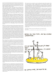### >>>>>>>>>>>>>>>>>>>>>>>>>>>>>>>>>>>>>>>>>>>>>>>>>>>>>>>>>>>>>>>>

However, on the whole I think that the special Soviet subjectivity whose foundations were laid in the avant-garde culture of the twenties was a sui generis phenomenon, whose value and uniqueness it would be hard to diminish against the backdrop provided by the monstrous banality of contemporary capitalist life. We are still faced with the task of discovering it again as something useful and real, as a practice.

Perhaps it made sense to talk about "desubjectivation" when it was believed that the agencies and ideological apparatuses of the capitalist state produce subjectivity itself, and that subjectivities themselves, as fixed identities, are convenient, visible points for the application of subjugation strategies. But the perspective of late-period Foucault and the research of Hadot (these two thinkers differed on a number of points in the way they interpreted practices of subjectivity, but we will pass over this here) enable us to speak of subjectivity formation as a process of *metanoia* and "transfiguration" that takes place in an explosive, uncontrolled, revolutionary fashion, although it relies on a systematic emancipatory practice.

We might find similarities in this perspective with Badiou's theory, in which subjectivation takes place in parallel with the truth-event and is maintained by faithfulness to this event. According to Badiou, however, subjectivation occurs as it were in a "miraculous," quasitheological manner that does not depend on our efforts, on *the practice of subjectivity itself*. For Badiou, the subject is in one way or another situated in the logic of an objective "situation," and the aspect of a practical "manufacture of subjectivity" is forfeited. Perhaps this has to do with the fact that Badiou's model of the event and the truth-procedure is an insufficiently critical take on the Christian paradigm. Moreover, if we accept the analysis of Foucault and Hadot, the Christian *dispositif* in essence "intercepts" and reinterprets "practices of the self" as practices of submission, not emancipation, consigning philosophy to a mere abstract theoretical role. Thus, *metanoia* turns into the "repentance" of the sinner and his subsequent submission to religious dogma. In this sense, Foucault's uncompleted theorizing reveals, in my view, a more promising and "useful" (to re-invoke our term) perspective.

Recently, I was at a talk by Carine Clément, the French sociologist who heads the Institute for Collective Action in Moscow. She presented the findings of her research on the new social movements in Russia. It was interesting that, in her analysis of the processes by which the new movements are formed, she used a scheme whose poles were two stances: that of the "philistine" (the passive, apolitical citizen), on the one hand, and that of the activist, on the other hand. This, in essence, is a particular variation on the subjectivity formation schema. Clément cited the testimony of her activist-respondents, who described their experience of moving towards activist stances. They talked about how they had begun to see their lives from a new perspective, as being connected to the social whole. They said that they had gained a sense of self-worth, confidence, strength, and collective solidarity, the readiness to defend their positions. It is simply amazing the degree to which this coincides with the effects of subject formation that the Stoics had already discovered back in their day. The transformation of the subject causes it to see the world from the universal perspective of the whole, the totality, just as Pierre Hadot describes, as well as giving it a sense of personal strength and indomitable fearlessness. How distant this is from the contemporary neoliberal frame of mind, from the repudiation of any claims to the truth, from a certain atmosphere of diffuse hedonism. In the aggregate, all this is in fact total "desubjectivation," which wholly supports the existing status quo.

**DV:** It's really great that you've been able to show me the sources of this entire problematic. I'd like to respond to you by analyzing one of my favorite quotations from Paulo Freire: *[I]f the implementation of a liberating education requires political power and the oppressed have none, how then is it possible to carry out the pedagogy of the oppressed prior to the revolution? This is a question of the greatest importance; one aspect of the reply is to be found in the distinction between systematic education, which can only be changed by political power, and educational projects, which should be carried out with the oppressed in the process of organizing them.* 

Why this quotation? First, it clearly demonstrates that *metanoia*—change in consciousness has definite boundaries: it is obviously limited by the class and social conditions of man's existence. Yes, at present we are capable only of gaining a presentiment of life in fullness and harmony, but our subjectivity is adumbrated by conflict with society, to which even the universal nitude of our existence provides no resolution. This is precisely why the project of the historical Soviet avant-garde is so valuable today: because it records an unprecedented experiment in the transformation of life that today resembles the stories of travelers who have returned from an unknown country. But today we don't have a map that would tell us where this country was located. That is, we practically have to start from scratch in drawing up the maps and tracing travel routes.

Second, the grammar of this quotation quite precisely poses the question about processes of organization. "Them": this is obviously all those people who by virtue of their class status acutely experience the injustice of the world, but who at the same time possess sufficient knowledge to be aware of the strategic tasks of their own emancipation. That is, according to the old, universally accepted model, there are certain privileged external agents who develop and wield these practices of emancipation. In previous times, these were people connected to God and the Church; they were followed by revolutionary parties and psychoanalysts. After the obvious downfall of these mediators, the question remains: is education possible without a teacher? Today it is the figure of the teacher/pedagogue—as the figure of repression under the sign of education—who is rightly and seriously under suspicion.

On the other hand, you have to be a complete idiot not to recognize that pure self-education is impossible. A person is always oriented towards various practices that have already been created by other people and whose experience is recorded in books, music, and art: education is the collective experience of turning to what has already been created. And here is where the abracadabra begins. That is, you have to introduce the factor of some kind of "illumination" that reveals the new and the unknown: how do we demonstrate the material premises of this leap in consciousness? Perhaps art preserves the species memory of freedom and is capable of giving us the basis for developing a project of emancipating consciousness? Is this where its fundamental utility lies? It clearly doesn't involve producing normative canons of aesthetic education, but involves faithfulness to the practice of its negation and renewal.

# SO LITTLE TIME, SO MUCH TO DO.

**AP:** I'm aware of your love of quotations as a form of recording already existing collective experience. By the way, I think that the practice of citation—of singling out those places in a text that provoke "illumination," change your mindset, and impart a new impulse to thought and practice—also has a transformative effect. For example, one of the pedagogical practices of the schools of antiquity was the compilation of special lists of quotations and sayings, which would always be "at hand" as a practical guide during the emergencies that arise in a human's life. In contemporary academic practice, on the contrary, quotations often serve a purely "decorative" function, or they are instrumentalized in order to add additional symbolic value to a text.

I think that the practice of citation might be regarded precisely as an example of the technique of emancipatory self-education. But I'm not sure that the figure of the mentor has to be so problematized in the "pedagogy of the oppressed" as to be excluded from it altogether. The teacher transmits not only abstract knowledge and theory, but also elements of those subjectivation practices of which he is the living medium. It's a question of the political solidarity of "teachers" with those who are undergoing the process of education. Although, of course today's alienated and instrumentalized system of education, which promotes the spread of the figure of the formal or (even worse) authoritarian teacher-administrator, is quite uninspiring.

By the way, Walter Benjamin set great store by quotations. If you remember, he dreamed of writing a book that would consist only of brilliantly selected quotations, and he almost realized this plan in the *Arcades Project*. In general, Benjamin is an extremely important and unorthodox figure in Marxist thought if you look at him in terms of the practices of subject transformation that interest us here. There is no doubt that, explicitly or implicitly, he attached a special signicance to these practices. I have in mind his famous theme of "profane illuminations," which he outlined in his essay on Surrealism. Benjamin meant that, in its origins, the very structure of the religious experience of "illumination" is preserved in the wholly materialistic practice of subject formation. We can confiscate these practices from the repressive structures of religiosity and place them in the service of emancipatory ends. According to Benjamin, they form a "materialistic, anthropological inspiration."

Benjamin describes "profane illuminations" as part of the Surrealist practice of transforming perception of ordinary things, which renders them strange, unnatural, ridiculous and even uncanny, as in a dream. According to Benjamin, this transfiguration of our perception of the world—the estrangement that demonstrates its artificiality, its unnaturalness, and hence the possibility that it can be radically changed—is one of the conditions of political revolution. Thus, we see that, according to Benjamin, the individual, particular subjectivation achieved in Surrealist experiments is a step on the road to the revolutionary subjectivation of society as a whole. Perhaps we might summarize this model by saying that avant-garde art operates on the level of individual subjectivity, but it alters it in such a way that preconditions emerge (of course, not the only ones) for the process of revolutionary subjectivity formation to move to the collective level.

### *Alexey Penzin - philosopher and researcher, founding member of the workgroup Chto Delat lives in Moscow*

*Dmitry Vilensky - artist, founding member of the workgroup Chto Delat, based in Petersburg*

# AFTER ALL THIS TIME, WE THE CITIZENS UNDER STAND :

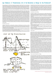The now-traditional view of the Russian avant-garde and Constructivism, which limits itself to two or three big names (Kandinsky, Malevich) or discrete works by leading figures (Rodchenko, Tatlin), reduces not only the sociopolitical context of these artistic phenomena, but also the dominant form in which they existed during their historical period namely, as a form of Productionist art, which conceived itself as a species of collective artistic labor. It was a social practice that aimed at the revolutionary renewal of society and the creation of new types of relations among people communist relations, to be precise. It was an art that could not imagine the creation of new artistic forms happening outside the transformation of social forms, and by this transformation it had in mind the production of "forms of intercourse" (Marx).

Nevertheless, the participation in Productionism of such renowned figures as Olga Rozanova, Liubov Popova, Varvara Stepanova, Karl Ioganson, Gustav Klutsis, Moisei Ginzburg, Konstantin Melnikov, Anton Lavinsky, Alexander Vesnin, the Stenberg Brothers, El Lissitsky, Vladimir Mayakovsky, Sergei Tretyakov, Vsevolod Meyerhold, and Dziga Vertov is often put down to passing leftist fancies or the forced "collectivization" of artists in the complicated circumstances of the first years of Soviet power. As a result, we know all these names either separately or as members of an amorphous "leftist avant-garde," rather than as a broad movement engaged in the creation of a new material and intellectual culture for an enormous country—that is, in a project whose scale was unprecedented for artists. Art historians keenly discuss Suprematism or Expressionism, the struggle between non-figurative art and realism, but all of them are inclined to underestimate the epoch-making decision by twenty-five prominent leftist artists in 1921 to remove Wassily Kandinsky from his post as chair of the INKhUK (Institute for Artistic Culture). They thus made a total institutional break with easel painting and moved into mass production and political agitation. The same should be said of the theorists of Productionism who joined artists in the LEF group—Alexei Gan, Nikolai Tarabukin, Boris Kushner, David Arkin, Sergei Tretyakov, Nikolai Chuzhak, Osip Brik, and Boris Arvatov. They opened up whole new fronts in the study of art and culture, and they developed alternative artistic methods and strategies. Over the past eighty years, however, their writings have not been republished and have remained the object only of biased criticism. In fact, the work of such scholars as Arvatov, who were among the founders of the sociology of art, might prove, mutatis mutandis, quite relevant today for a critical grasp of the processes that have led to the fusion of art, the market, neoliberal ideology, and mass culture.

It was, however, the association of Productionism's practitioners and theorists with the ideas of communism and with the 1917 Russian Revolution that determined to a great extent its tragic ambivalence. It was this that prevented the movement from putting down firm roots and realizing itself fully in history.

### **The Historical Context**

Although it declared itself as a primarily leftist, communist art, Productionism was not, however, an isolated phenomenon, an anomalous instance of political excess in the history of art. Formally and in terms of content, it was linked to such paramount artistic currents of the nineteenth and twentieth centuries as Romanticism, Cubo-Futurism, Abstractionism, Arts and Crafts, and the Bauhaus. It manifested and tested ideas and practices that these other groups had abandoned at the level of declared intuitions.

3. What is the link between the Constructivists and Productionists, on the one hand, and Situationism and contemporary political media art, on the other? That is, where in the contemporary world might Productionism find its heirs?

The Productionists did not limit themselves to the role of production technologists and designers of the new industrialized lifestyle. Instead, they hoped that their work would have a more fundamental impact on socioeconomic processes. Thus,

**RECONSTRUCTION** 16.000 **FAB EICATED** ALE RECYCLED



URBAN VILLA

they linked the relevance of their theory of art to the success of revolutionary transformations at all levels of social existence. This success did not depend only on art, even art understood from the Productionist viewpoint. For the technicization of artistic labor did not solve the problem of industrial labor, but merely framed it, especially under conditions where production itself was underdeveloped. This explains to a great degree why the ideas of the Productionists resounded with confidence only in the early twenties. By the early thirties, these artistic initiatives maintained some kind of presence perhaps only in architecture and, partly, in journalism, and the movement as a whole was exposed to constant pressure from the mounting Stalinist reaction.

### **Formulation of the Problem**

The question is whether the cause of these events was a fateful mistake made by the Productionists within their project itself or something mostly external to it—that is, the failure of the Revolution itself, the gradual curtailment of the communist project. Correspondingly, did Productionist art itself cease to be "communist" as a result, thereby forever relinquishing its relevance?

Although I hope to answer these questions, I have not set myself the task of reconstructing the entire history of Productionist art in the revolutionary Russia of the nineteen-twenties. There are already several good (albeit variously tendentious) studies on this topic [1].

I avoid this reconstruction all the more so because this phenomenon was quite heterogeneous: it included the simplistic declarations of the Proletkult (Alexander Bogdanov) and émigré aestheticism (the Berlin journal *Veshch*—"Thing") along with well-conceived theoretical conceptions and impressive artistic achievements (the theorists and practitioners of the LEF circle, INKhUK, VKhUTEMAS). Hence I will focus only on formulating the overall ideology of this ambiguous phenomenon, what with its stark approach to posing questions and its obvious contradictions. In addition, I intend to answer the following questions in this text:

1. What was Productionist art's logical and political connection to modernism and the pre-Revolutionary Russian avant-garde?

2. How did Productionism differ from the Deutscher Werkbund and the Bauhaus? That is, why is it wrong, despite superficial similarities, to reduce Productionism to applied/ decorative arts and design?

### **Achievements**

Among the most commonly recalled fundamental achievements of the Productionists is the Soviet section at the 1925 Exposition Internationale des Arts Décoratifs et Industriels Modernes, in Paris: Melnikov designed the pavilion itself, while the central exposition was Rodchenko's famous Workers' Club. Other frequently cited highlights are Tatlin's furniture, Popova's textiles, Miller and Stepanova's designs for work uniforms, the advertising posters of the Stenbergs, the photomontages of Mayakovsky and Rodchenko, Gan and El Lissitsky's avant-garde graphic design, Lavinsky's models and buildings for the city of the future, the Suprematist dishware of Malevich's followers, Meyerhold's biomechanics for the theater, and Vertov's Kino Eye movement.

It was not the achievements of particular artists that distinguished Productionism, however, but the movement itself and the original conception of art that emerged from their daily experience of toiling in workshops, factories, schools and colleges, and art institutions. Although it has been repudiated by art historians and half-forgotten by contemporary artists, this conception remains unsurpassed to this day.

The undertaking to return art to the popular masses was not just a slogan. It was also part of the concrete task of organizing the industrial arts and arts education in a country that was essentially illiterate, backward, and exhausted by war and famine. Moreover, this return was, at a minimum, associated with the democratization of Russian society and the ideals of popular rule, and, simultaneously, with the no less pressing problems of creating a mass society and the continuing division of labor. Productionist artists and theorists were thus faced with problems that, while not reducible to one another, were essentially intermeshed: the emancipation of labor; the return to it of the creative character it had forfeited under capitalism; and the democratization of art itself in terms of its new collective author and mass consumer. The task was to coordinate production and consumption via the figure of the "artist in the factory," to make art a mass phenomenon without diminishing its quality and revolutionary import. The existence of art in the regime of mass production/consumption that is, not only in the laboratory of formal experiments aimed at an elite audience capable of appreciating them—confronted the Productionists with questions that much later theorists of modernism (Adorno, Greenberg) were unable to answer positively without once again confining the artist within a quite precarious autonomy and herding the masses into the reservation of kitsch and "bad taste."

### **Labor and the Production of Things**

Thus, the basic dilemma in the conception of the Productionists was already conditioned by the Kantian antinomy within the notion of art as, on the one hand, a practice capable of restoring the unity of humanity's rational and sensual, natural and social essences; and, on the other hand, as an exclusive ability bound only to the individual genius of the artist. The latter notion, dominant in the history of contemporary art, widened the gap between art making and material production, and in turn reflected the general trend toward the division of social labor. The Productionists proposed their own method of overcoming this antinomy, a method that differed from Schiller's "state of beauty in appearance." They regarded art from the viewpoint of labor and advanced the idea of mastery as the skillful production of things instead of the notion of the artist as genius. "Every artwork is a thing," wrote the authors of *The Art of the Commune*. "The art of the future is not connoisseurship, but labor itself transfigured," declared Tarabukin [2]. In the historical reconstruction of art undertaken by Arvatov (*Art and Production*, Moscow, 1926), although the artist was conceived as a "master" who had emerged from the workshops of the Middle Ages, he differed from the craftsman only by virtue of his mastery. That is, it was not that the craftsman had been an artist once upon a time, but that the artist had once been a craftsman. Like the craftsman, he had been inscribed in society's system of daily needs and practices. Right up until the early bourgeois age, he was not engaged in the production of discrete luxury items and museum pieces, but in the full-blooded reproduction of society's entire system of vital activity.

>>>>>>>>>>>>>>>>>>>>>>>>>>>>>>>>>>>>>>>>>>>>>>>>>>>>>>>>>>>>>>>>

Drawings by Marjetica Potrč from the series 'The Future is Now", 2005 (Drawing No.3 and  $4$  of  $10$ )

**O COTTRUS** NOW, A RESIDENTIAL COMMUNITY IS BETTER. SHALL

# Igor Chubarov /// Productionism: Art of the Revolution or Design for the Proletariat?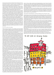### >>>>>>>>>>>>>>>>>>>>>>>>>>>>>>>>>>>>>>>>>>>>>>>>>>>>>>>>>>>>>>

That is why, by the way, that the art of antiquity, which we still imagine as the "norm and unattainable model" (Marx, *Grundrisse*), was viewed as such, according to Arvatov, not by virtue of its "classicism" or "realism," but because it was incorporated into the religious practices, architecture, and infrastructure of the democratic *polis*.

In his typically radical manner, Osip Brik raised the stakes when he wrote, "Why is the manufacture of a still life more 'basic' than the manufacture of chintz? The experience of the easel painter is not the experience of the artist as such, but merely the experience of one particular instance of painterly labor" [3]. Of course, the comparison of a still life to chintz was a bit invidious. The problem evoked by this comparison involves the applied nature of art when it makes the transition from the artist's studio to the production floor—for example, when a Suprematist painting is transferred onto a new medium such as a porcelain plate. Tarabukin and Brik, however, were dreaming of something bigger: namely, art's inltration "into the 'economic mystery' of the thing." In this connection Brik wrote: "Productionist art's principal idea is that a thing's outward appearance is determined by its economic function, not by abstract, aesthetic considerations."

This strain of historicism assumed that a new transformation of art was possible: art could be returned from its Hegelian wanderings round the circles of alienation—palaces, museums, and galleries—into the daily lives of people. Moreover, Arvatov, Gan, and Tarabukin saw the future of art not in a return to cottage craftwork, as Ruskin and Morris (and Proudhon) would have had it. On the contrary, artists would be involved in the organization of industrialized machine production as engineers and inventors.

We might imagine that they had in mind the simple notion of masterfully produced designer items. This is not quite accurate, and the attempt on the part of Soviet art historians in the sixties to rehabilitate Productionist art by reducing it to design is explained solely by the ideological conjuncture.As a minimum program for a time when the economy and productive forces were underdeveloped, Arvatov proposed the manufacture of comfortable furniture and clothing, the development of an "economical gait," and an efficient work and domestic environments. At the same time, he was perhaps overly optimistic in his assumption that these products were capable not only of improving the general welfare, but also of altering people's perceptual/sensual habits, thus gradually shifting society towards the maximum program of the Productionists. That is, as they discussed chintz, machines, and even domestic life, their real target was the individual, or rather, her increasing capacities and species being/social essence, now in a process of transformation.

Therefore, there was nothing anti-artistic about the notion that the thing's efficiency and utility (its "tectonics," according to Constructivist canons) were equivalent to its artistic qualities. The way that the Productionists framed the question about the origins of artistic creation can be compared in this sense (and without straining the point) to Nietzsche's genealogy of morals. As we know, Nietzsche exposed the utterly unethical basis of our pleasant moral norms. Just like Nietzsche, however, the Productionists spoke not so much of a return to a pre-ethical/pre-aesthetic (pre-cultural) stage (that is, the production of merely useful domestic items), as of the transfiguration of life itself. This transfiguration would overcome the threat of a new reification brought on by the proletariat's ownership of the means of production. The Productionists thus understood daily life in a maximally broad and dynamic sense: the new life would not so much supply people with comfortable, affordable housing, dishes, and furnishings (that is, it was not the organization of things), as much it would introduce a grammar of new relations between people based on a new relation to things. According to the Productionists, things had to be overcome as much as daily life did. As Arvatov wrote, "The total merger of artistic forms with the forms of daily life [and] the creation of a maximally organized, efficient, and ceaselessly fashioned being will supply not only harmony of life—the most joyous and complete unfolding of all social activities—but will also destroy the very notion of daily life. Daily life—that is, something static and ossified—will die insofar as the forms of being (which today takes the form of daily life) will be altered endlessly as productive forces evolve" [5] Here we find the principal difference between Productionism and the ideas of Walter Gropius, Le Corbusier or the Werkbund. Unlike the founders of Productionist art in Russia, their western comrades-in-arms advocated the utility, economy, and efficiency of daily consumer items, and for them these qualities were fairly abstract aesthetic principles based on a lopsided notion of technical progress. Given the constant substitution of pure technicism for art, the possibility of fetishizing manufactured things and even sacralizing them was thus preserved.

### **The New Life and Its Overcoming**

**Arvatov**Arvatov interpreted easel-based visual art as the illusory supplementation of capitalism's under-organized world of daily life. This form of daily life could be overcome only under a socialist economy, which he understood as a return to a quasinatural economy that presumed collective production and the consumption of the fruits of this "high-quality labor" as its use values. Correspondingly, he saw art's future in the creation and appropriation of universal culture by all members of society according to their creative skills and levels of mastery. As for easel painting, under socialism it would be turned into an "art of social pressure that is, into an art that would try to provoke determinate, concrete behaviors". Moreover, it should be realized without mediation in the daily life of workers, revolutionizing it from within: "It is not that the working life should be brought to the theatrical stage, but that theatrical action should unfold in life". That is why Arvatov proposed turning museums into research institutes, rather than storehouses of "eternal treasures" for admiration by an idle public. He gave pride of place to the new media—photography, cinema, radio, and "literary factography" (newspapers). With its basis in these new democratic media, proletarian art, according to Arvatov, should combine the "objective fixation" of real facts with their "dialectical montage," by which he meant the formalist principle of "baring the device of artistic mastery," a technique that revealed the "fetishistic" mysteries of art. Here, Arvatov anticipated a number of ideas that western historiography ascribes exclusively to Walter Benjamin. In particular, Arvatov penned the following "Benjaminian" phrase: "Instead of socializing aesthetics, scholars aestheticized the social milieu". Arvatov interpreted the "socialization of aesthetics" as the organization of artistic labor within a regime of direct cooperation between producer and consumer, which also links him to Benjamin: "Proletarian artistic collectives should become members of collectives or associations in those fields of production whose material is designed by the given

Wholly in the spirit of the early Marx, Arvatov, Tarabukin, and (even!) Ilya Ehrenburg viewed the emancipation of things only as a dialectical stage towards total de-reification, as the overcoming of the fetishistic mediation of social relations as relations between things. "The worker not only liberates the thing from man; he also liberates man from the thing. The thing is not his yoke, but his joy. Art is the creation of things (which, although not crudely utilitarian, are always necessary)" (Ilya Ehrenburg, [4]).

Cubo-Futurism and non-figurative art had contained not only a negative (illusory) critique of capitalist society: their nonfigurativeness expressed not only the non-figurativeness of the exploited worker, but also the future non-figurativeness of the communist. It was thus all the more strange to criticize pre-Revolutionary Futurists for the absence in their practice of a link-up with the production of things under conditions where production itself was in the hands of the capitalists.

Russian designers, on the contrary, saw a solution to this problem in a balance between production and consumption that would be based on the manufacture of temporary, as it were "disposable" (Tarabukin) things. By virtue of their collective production and social consumption, the individual would be able to avoid becoming attached to them. For the problem with things is not whether they can be individually possessed as private property, but whether they are able to satisfy the elementary needs of any person whatsoever.

branch of art. Thus, for example, an agit-theater joins the propaganda apparatus as its organ. A theater of mass and other daily actions is linked to institutes of physical education and communal organizations. Poets are members of magazineand-newspaper associations and, via them, are linked to linguistic societies. Industrial artists carry out commissions from industrial centers and are part of their organizational system. And so forth". Arvatov also had an afnity to the much later strategies of the Situationists: "Actor training needs to be recreated in such a way that instructors of the theatrical craft would be able to teach people how to walk down the street, organize festivities, make speeches, comport oneself in various concrete situations, and so forth".

Arvatov sometimes took his idea of the total artistic organization of daily life to a maniacal extreme: "Every person should be qualified to walk, speak, and arrange the world of things around him with their qualitative properties". But in the conclusion of his *Art and Production* he nevertheless reserved a niche even for the fine arts: "Insofar as absolute organization is practically unattainable, and insofar as one or another element of disorganization is always preserved in the personal life of the members of a socialist society, then we must think that the supplement of the visual arts will remain under socialism as well. [...] In this artistically organized self-manifestation and intercourse, the personality will, apparently, compensate for its personal dissatisfaction".

### **Abstractionists and Productionists: Towards the Problem of the Avant-Garde's Legacy**

The Productionists were quite aware that the old regime's "thing" would disappear under conditions of modern industrial production (Tarabukin). In this sense, the Productionists had no choice but to be abstractionists: they were heirs to the non figurative tradition not only in its negative aspect (the critique of representative and figurative art), but also in terms of its positive affirmation of the contemporary world's non-figurative nature. For in what other way would the utilitarian works of Productionist art have differed from the designer articles of the Werkbund or the furniture of the Bauhaus? Thus, the Productionists paid negative recognition to the fact that leftist art could not be reduced to the production of the elements of material culture, even if we understand it as Bogdanov did, as the identity of the spiritual and the material in the idea of total sociocultural organization.

Of course, they never mentioned this directly in their manifestos. Moreover, they even sometimes consigned pure Constructivists to the ranks of "bourgeois" artists. Thus, one of the excesses committed by the theorists of LEF and the INKhUK was their needlessly rigoristic rejection of their predecessors and allies in the struggle against bourgeois art and bourgeois society. This, it has to be said, made them bear a striking resemblance to the Futurists themselves.

The more sober-minded Productionists (Tarabukin and Arvatov, again) realized that, under contemporary industrial conditions, Productionist art was more a wish than a reality, thus primarily taking the form of laboratory experiments and political agitation. In this sense as well it was no different from the art of the abstractionists and the Futurists, whose work those very same LEFists legitimated as a formal laboratory of the art of the future under capitalism, and propaganda art under Soviet power.

The leftist theorists made their most serious mistake, however, when they subjugated contemporary artistic practice exclusively to industrial production. They thus took as reality a situation in which the artist would produce things whose usefulness was in no contradiction with their artistic qualities. They made this ideal the basis of their doctrine, thus inevitably substituting their above-mentioned maximum program for their minimum program and vice versa. It was not just a matter of Brik's "chintz," of course. Nor, since we are on the subject, was it a matter of canvass. The problem had to do, rather, with the notion of the "frame" and the limits of art. This frame is not a constant, nor does it

depend exclusively on art itself. In revolutionary periods, this frame is violated and begins to shift. Therefore when the

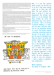most advanced strata of Russian society adopted the utopian project, smashed the resistance of the ruling class, and then set about constructing the new life, nothing else remained for art but to aestheticize this project's successes or failures (leftist and rightist traditionalists) or try and cruise in the wake of its realization (abstractionists and Productionists). But as soon this project itself began to stall, artists were again faced with a choice: to continue the Productionist strategy by now only ideologically servicing a merely nominal socialist state (for they had already been ejected from production), or to shift to criticizing this project via artistic means and from an even more radical position. As a result, the Productionists got caught between the trials of applied design and utopian designs for the future.

Unfortunately, the utopia of Productionist art remained only a wish during the twenties—a possible horizon of art's development that, for the first time in history, unfolded into such a broad panorama before Russian artists and theorists.

### **The Lessons of Productionist Art**

Thus, the main lesson of the Productionism of the twenties is that when our understanding of art is at a crossroads—when we cannot decide whether art is knowledge, propaganda, entertainment, utility or life-construction—we are not at all obliged to follow only one of these perspectives. The heterogeneous nature of art enables us to regard it from all these viewpoints, without reducing it to one of them absolutely. However, consideration of art's social and historical character should be the basis of these viewpoints: this is the most vital condition for the emancipation of art from commercial subjugation and ideological capture.

The history of Productionism shows us convincingly that avant-garde art cannot "depict" reality via representative strategies or produce "things themselves" under capitalist property relations without betraying itself. Moreover, within the contemporary art market, with its systems of brands, stars, and political spin, both these strategies have become intertwined to the point of indistinction, manifesting themselves either as decorative or political design for the ruling classes.

*Igor Chubarov is a philosopher and editor based in Moscow. He is a research fellow at the Institute for Philosophy of the Russian Academy of the Sciences, and is editor-in-chief of the publishing house Logosaltera (Moscow).*

WE LIKE TO DECORATE.



Now, it is true that opinions matter greatly, but the best are of no use if they make nothing useful out of those who hold them. The best political tendency is wrong if it does not demonstrate the attitude with which it is to be followed. And these attitude the writer can demonstrate only in his particular activity - that is in writing. A political tendency is a necessary but never sufficient condition for the organising function of a work. This further requires a directing, instructing stance on the part of the writer. And today this must be demanded more than ever before. An author who teaches writers nothing teaches no one. What matters, therefore, is the exemplary character of production, which is able, first, to induce other producers to produce, and, second, to put an improved apparatus at their disposal. And this apparatus is better, the more consummers it is able to turn into producers

PERSONAL ORIENTALISM O PRISHTINA O

The artist has to be able to forego attachments to things or their absence, for life changes endlessly and becomes more complicated by the minute. Thus, under capitalism, the only way to remain faithful to oneself and the avant-garde is to maintain a critical distance to the forms and relations it foists on us. The artist has to develop strategies so that the fruits of her labor are not appropriated by the market and by bourgeois culture; she has to actively employ and invent new media and artistic techniques that they have not yet assimilated. In this sense, Arvatov's testament remains relevant: "The fetishism of aesthetic materials should be destroyed"; "the fetishism of aesthetic techniques, forms, and tasks should be destroyed"; "the fetishism of aesthetic instruments should be destroyed".

> $-$  that is, readers or spectators into collaborators.

Walter Benjamin The Author as Producer, 1934

ANY STYLE WILL DO, AS LONG AS IT REFLECTS MY PERSONAL TASTE.

Drawings by Marjetica Potrč from the series 'The Future is Now", 2005 (Drawing No.6 and 7 of 10)

In positive terms, today as well the leftist artist should be in search of the "best political tendency" as the main condition of the aesthetic quality of his work (Benjamin, "The Author as Producer"). A reassessment of the achievements and defeats of Soviet Productionism might prove invaluable experience for artists as they search for and articulate this new, emergent historical tendency.

### Endnotes:

In the main text, references to books published in Russian are given only in English, although in many or all cases, no published translations of these works in English exist.

1. From the Easel to the Machine, Moscow, 1923, p. 23

2. See, for example, A.I. Mazaev, Kontseptsiia 'proizvodstvennogo iskusstva' 20-kh godov [The concept of 'productionist art' of the 1920s]. Moscow, 1975

3. From Paintings to Chintz," *LEF* 2 (1924), pp. 27–34

4. Nevertheless, It Does Move, Berlin, 1922, pp. 135–136

5. Art and Production, p. 117.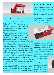

# Lolita Jablonskiene in coversation with Dmitry Vilensky

**Lolita Jablonskiene:** I would like to start our conversation with a historical note, taking a glance at Alexander Rodchenko's Workers' Club. After all, you chose to reference its title in the name of your project. I know that you have some interesting and rarely published material on Rodchenko's Club? What is it and why does it appeal to you?

**Dmitry Vilensky:** The idea of the Activist Club diverges from the original concept of the Workers' Club introduced in the USSR in the mid-1920s and represented by the famous piece made by Alexander Rodchenko. Created in 1925 for the International Exhibition of Modern Decorative and Industrial Arts in Paris, it was never produced in real life. So it was a sort of a model of how such a places should be organized. The piece introduced a western bourgeois audience to the completely different method of staging cultural activities in workers' free time in the USSR (such as "Lenin's Corner," a space for gatherings, or the performance of "Live Newspapers," etc.) The task of the workers' club was to orient the workers in issues of political struggle, and introduce them to a different type of aesthetic experience. It critically undermined the obsolete idea of an idle consumer, who, through the experience of the art object in the museum, could elicit pleasure and "emancipate" herself from shabby everyday existence. It was about building a space based on educational methodology and creativity. When we were preparing our first approach to the concept of an activist club, in Paris in 2007 (actually, this was imbued with an intriguing symbolism because Paris is the place where the original Rodchenko Workers' Club disappeared after being given to the French Communist Party), I came across a publication by bookstorming.com and Galerie Decimus Magnus Art Editeurs (www.michelaubry.fr/livres.html), meticulous documentation of the reconstruction of Rodchenko's Workers' Club done by the French artist Michel Aubry. It was very inspiring to see one of the most famous works of the Russian avant-garde in an amazingly detailed reconstruction. Also, it shed light on many details of the composition that were not visible in the historical photographic documentation of the project. Of course there have been several recent attempts to reconstruct this piece. Christiane Post attempted something at the 6th Werkleitz Biennale; there was an installation by Susan Kelly, "What is to be done?"; and a reading room at the exhibition Forms of Protest, at Van Abbemuseum. I was not interested in reconstruction but in a process that I would call the "actualization" of the concept of the workers' club, how it could be fitted into the space of a contemporary art institution with all its limitations. So this selfimposed challenge was almost the same as the one the Soviet government had once placed upon Rodchenko: namely, to show the bourgeois public another means of producing the space where art—and aesthetic experience—can come together with political learning and subjectivation. Or, to put it another way, how the artist can claim the true value of art. Another aspect of my inspiration was the current discussion on the concept and role of social centers. This was one topic of discussion at the recent conference at MACBA in Barcelona, "Molecular Museum. Towards a New Kind of Institutionality," which tackled the relation between museums and social centers. I think that for all of us who consider art works to be more than objects of pleasure and entertainment for the rich, but as an important experience that can transform a person's subjectivity and make them feel more free and human, the concept of the social centre, as a place where we can reveal the pure use-value of art and ignore its exchange value, is more important than the concept of the museum. The museum emerged in an epoch when the new bourgeoisie was the revolutionary class in society. Now the new social centers strive to serve a broad caste of oppressed people and give them a chance to appreciate culture within a framework of fighting for their rights of recognition. The discussion about the future of social centers can be connected with the concept of the workers' club developed in the Soviet Union because they share an approach to the value of art and the people that participate in its production. Today, the situation is more confusing, what with all the changes in class composition and the placement of the factory inside the society as a whole. So I think that there is a desirable space where we can imagine and demand the hybridization of museums and social centers.

setting. These are spaces where we screen our film and video works, distribute newspapers and other printed materials, where it is possible to accommodate seminar activities and discussions or run sociological research involving the public. These are spaces for contact with the public and their feedback, and the structure of the spaces is organized to serve these needs. Also, I would call them "take-away spaces"—we welcome any collective in need of a place for gathering and screening something. They can use them for their own purposes.

**DV:** I am not sure about "engineering." I think in our post-Fordist time it is even more confusing to talk about "engineering" than it was in the days of the mass Fordist mobilization of labor forces.As such, it is not engineering but the process of self-organized education that enables a new class sensibility—that is, new skills that facilitate a new subjectivity. Currently, in this time of the crisis of political activism and the growing pressure exerted by the capitalization of culture, it is still could consider in a wake of old discussions. Should artists produce for the proletariat or should the proletariat produce its own art? I think we need to reconsider the role of the avant-garde artist as a historical figure and try to analyze



how this role relates to the contemporary figure of the artist-important for us to demonstrate our fidelity to the history of human emancipation. For me, this struggle lies at the core of aesthetics and art. Also, the idea of the transversality of the struggle (see Gerald Rauning's important book Art and Revolution, published recently by Semiotext(e)) is something that should shape the position of the activist. Defining an "artist-activist" is a difficult and ever-returning task that we should consider in a wake of old discussions — should artists produce for the proletariat or should the proletariat produce its own art? I think we need to reconsider the role of an avant-garde artist as a historical figure and try to analyse how this role relates to the contemporary figure of the artist-activist.

**LJ:** Sharing a common experience of the Soviet past, we both know that Rodchenko's project was a semi-utopia. It was never introduced into life, however. Workers' clubs or workers' culture houses, political corners et al. did exist in the Soviet system of

organizing the political education and leisure time of workers. How would you account for your choice of Rodchenko's Club as a prototype or archetype instead of some nearby culture house that still bears signs and the memory—of workers' bodies and the ambiguities of such places? How do you measure the effective balance between the utopian and the prospective in your Activist Club?

**DV:** Perhaps I would be more inspired if I was trying to develop a functioning social center, rather than working in the institutional art framework. I share Charles Baudelaire's inspiration, as embodied in the passage, "It is an immense joy to set up house in the middle of the multitude, amid the ebb and flow of movement, in the midst of the fugitive and the infinite." Once, for me, there was a moment when it sounded almost achievable, when, after an exhibition in Dresden, there was a chance that my construction-module could be moved to a place where it could serve its intended function. Unfortunately, it never happened.

> I think that this definition is really important. As Jacques Rancière once mentioned (and I fully agree with him): If the concept of the avant-garde has any meaning in the aesthetic regime of the arts, it is […] not on the side of the advanced detachments of artistic innovation but on the side of the invention of sensible forms and material structures of life to come.This is exactly the main concern of the activist-artist, who is not trying to dictate to the masses what art should be, but works in close connection with resistance movements and tries to find a form of representation for the vitality of struggle and social transformation and disseminate it back into the movement. I think it is about constructing an organic exchange between art and the everyday experience of people. Art can gain experiences from the everyday and at the same time penetrate the texture of people's consciousness and life, helping them to understand their place in history and deepen their process of becoming.

LJ: I am deeply interested in your concept of "selfeducation," both its tradition in Russia and its Futurist ambitions. You relate it to the activist position, don't you?

**DV:** Yes, I really do. The theme of self-education flows from the notion of self-organization. What do we mean when we talk about this notion today? Self-organization is a collective process of taking on political functions and addressing tasks that have been excluded from the field of real politics or pushed out of public space. Thus, the process of self-education is inseparable from the positioning of collective dissent within the existing order of things. It demands the transformation of the status quo. Self-organization searches for a form through which it can express the voices of dissenting subjectivity. Since self-organization demands something lacking in a concrete historical moment and a concrete local situation, its most important characteristic is the lack of knowledge. At the same time, the lack of knowledge does not entail

In reality, such things are hard to implement because there are very few resources for their realization and, frankly, the Russian social and political situation is incomparable with the Western European one: chances for non-institutional work are very limited. So, Rodchenko's Workers' Club is impossible to imagine without the whole post-Revolutionary situation—it is deeply rooted in the context of its time. That's why the idea of a workers' club is useless today. For me, the shift from worker to activist is important. Historically, the worker's identity had a marked political position, but I doubt that it does now. Today, political subjectivity is shaped inside and outside labor relations, and the position of the political subject is determined more through one's stance as an activist.But the idea of the transformation of the privileged art consumer's leisure time into the learning time of the oppressed is still worth attempting to actualize. And in this way I am very inspired by the situation that has emerged recently in different social centers in Europe, where activists are building their own environments for self-educational activities, centered on cinema, and on reading and discussion spaces. But I am often disappointed by the trashy imagination of the spatial production that is normally realized in such centers, squats, and protest camps. I personally feel good inside them and of course prefer them much more than the over-hyped lounges that are so much adored by the new "creative class," which are so disgusting in their cozy hedonism. I think that such spaces should be organized differently. As my friends from Universidad Nomada postulate: For quite a while now, a certain portmanteau word has been circulating in the Universidad Nomada's discussions, in an attempt to sum up what we believe should be one of the results of the critical work carried out by the social movements and other post-socialist political actors. We talk about creating new mental prototypes for political action. (http://transform. eipcp.net/transversal/0508/universidadnomada/en) The same approach should be developed in relation to spatial practices. In this particular installation of the Activist Club, which was realized for an art institution, we were trying to demonstrate how these "spatial prototypes" could be realized. And I hope that is one of the possible ways in which art can be developed today.

# Spaces for Art, Political L

**LJ:** What kind of activities have you been organizing at the Activist Club? Talks, debates, and exhibitions? Anything else?

**DV:** First, in the institutional framework my constructions serve as contextualization modules that provide viewers the chance to experience the artwork produced by our collective in a proper

**LJ:** "Engineering" (social and aesthetic) was a key concept for Rodchenko. How do you relate to it in both its social and aesthetic ambition? I believe that, for the Constructivists, being an "engineer" meant being in the avant-garde of the new age and the art revolution. How would you describe the identity of the contemporary artist-activist?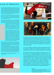Striving to be realists in the authentic, broad sense of the word, we once again repeat Lenin's half-forgotten thesis: "You can become a communist only when you have enriched your memory with knowledge of all the riches that humanity has created." That is why we have chosen for our installation at the Van Abbemuseum a series of paintings from the museum's collection that represent the twentieth-century realist tradition.

For us, these paintings symbolize the aesthetic and political value of this tradition. Socialist realism, which betrayed the mode of critical engagement with reality, was a distorted continuation of this tradition.

By designating an alternate expositional and interpretive context for these works, we can establish the dialogue with them that is so vital to us. The insertion of critical realism in the context of the new avantgarde art paradigm finds its basis in the notion of art as an activist-educational practice, as well as in the process of reassessing the role of the museum, which even after its mythical "death" still remains one of the principal sites for the production of art's value and signicance. The ability to see realist painting with a fresh gaze is not merely a primary component of universal aesthetic experience, but also a powerful instrument of politicization, whose current potential seems more relevant to us than the potential of modernist abstractions.



### **Illustrations:**

(Top): Installation view of Activist Club (Kino-Discussion Module) at the exhibition "Electrifications of Brains", Motoren Halle, Riesa efau, Dresden. (Bottom): Charley Toorop, Volkslogement, 1928. Van Abbemuseum Collection (Left): 3D simulation of the Activist Club (Kino-Discussion Module) made by Theo Wajon based on sketches by Dmitry Vilensky

# earning and Subjectivation

the rejection of cognitive approaches that are already known. The state of a creative lack-of-knowledge is the point of departure for action. Practices of selfeducation have been extraordinarily important in Russian history. Often semiillegal and in opposition to official institutions of power, such intimate circles were able to formulate some of the most striking phenomena in Russian thought and culture. Notwithstanding their marginal position, they made an invaluable contribution to the historical victory over the repressive state structures that in Russia always intertwine with capital. Their experience still inspires us today, as we once again look for ways to educate ourselves in the current atmosphere of growing coercion, state violence, and direct repression.

**LJ:** Your Activist Club has been installed on several occasions already. Does it change each time? And, if so, how site-specific does it become? Rodchenko's project, I believe, was based on a universal concept that could be "exported." Thus, it was no coincidence that it was donated to the French Communist Party after the Paris Exhibition. Finally, how do you balance the didactic and the participatory elements of your project?

*This text first appeared in Printed Project, Issue 10, edited/curated by Lolita Jablonskiene, chief curator at Vilnius's National Gallery of Art www.printedproject.ie*





**DV:** For our group and for me, the participatory moment is very important. So what we are building are the spaces where the viewer can encounter the work of art in a proper and (as we understand it) educational setting. I do not think that this necessitates a universal "concept," but we should try to develop a method, an approach to the production of the space that can have a universal dimension.

> And I think that these claims for universality are sometimes misunderstood as something totalizing or exclusive of any difference. But you do not have to be a philosopher to recognize that is not the case. True universality is built upon singular, local, and differentiated experiences, exactly as Marx noted (in The Communist Manifesto): *"From the numerous national and local literatures, there arises a world literature.*" So all realizations of activist clubs in different contexts are different but they share a universal approach.

> **LJ:** In one issue of the Chto Delat newspaper that you publish (the issue on "Critique and Truth"), you explain your strategy as "making spaces where the group can carry out its work, spaces that are largely independent from the system." What are these spaces and what is their potential? In the outline of my project for this issue of the Printed Project I have pointed to the hybridity of spaces that surround us. I will give you an example. When I was working in Moscow implementing a special project for the 2nd Moscow Biennale at the Winzavod Contemporary Art Centre, I had constant encounters with migrant construction workers who lived and worked in the same complex. Their huts were actually scattered around the Biennale venues, and one could not avoid the feeling of both being together with them and deliberately ignoring their presence at the same time. How does your Activist Club function in regard to the hybridity of social space?

**DV:** It could be anywhere, but the issue of space and its potentiality should be considered alongside the issues of the possibility of the situation that might arise in the space. Regarding your experience, if by any chance you encountered a strike or a protest by the migrant workers that would block the opening of your show, what would you do? Stop working in solidarity or hire other workers who would help you make your deadline?

My answer to this challenge would be to produce a space of the exhibition that maintains the potentiality to be transformed and welcome a different sort of activity: the workers could take it over if they felt the need for it. Such spaces could be useful in a crisis situation. Or you could imagine another situation where these workers would have an organization, and they needed a place where they could gather and share their experience and meet activists who support their struggle. If we consider art spaces to be truly public spaces, then they could serve these needs and at the same time maintain uncompromising aesthetic quality. That would be for me an ideal model of what you called hybridity of space.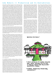# John Roberts /// Productivism and Its Contradictions.

Lenin's decision to reintroduce certain aspects of the free market into the Soviet Union after the ravages of War Communism was a form of what might be called '*revolutionary pragmatism*'. The industrial base of the country was devastated, the working class atomised, and peasant discontent widespread, and therefore, a modicum of modernity had to be restored immediately. Without this, Lenin surmised, the fledgling revolution could be split apart and lost by the failure of the new state to meet simple, everyday needs. One of the immediate effects of the New Economic Policy (NEP) was, of course, the rise of a new bourgeoisie, with its speculation, parasitism, conspicuous consumption, and petit-bourgeois tastes; another was the return to various forms of speeding up and coercion within the factory, resulting in widespread workers' resentment. For many Bolsheviks on the left, then, (and subsequently) this is where the revolution was actually 'lost' as the technical transformations put in place by the Party (within a largely antiquated factory system) were immediately subsumed under a new disciplinary productivist regime. For Lenin there was no way of getting around this if the infrastructure of the state was not to collapse; for Lenin's critics (including many workers themselves) it was one thing to protect the revolution, another to be worse off, and suffer increased levels of control. The NEP then was profoundly transformative of the direction of the revolution, because it forced the Party to address the limits of workers' emancipation in conditions of general need. It is no surprise therefore that the factory itself becomes a source of massive political and cultural struggle and selfdefinition for the revolution during this period, because it is the factory that bears the full weight of the New Economic Policy. Indeed, the operations, relations and dynamic of the factory becomes a key focus of the revolution's ideal horizons, as right and left seek to adjust their positions to the new Policy. Thus at one end of the ideological spectrum Alexei Gastev [1] proposed various time and motion programmes in order to create increased worker efficiency, punctuality, and hygiene, (all this backed, initially, by the Central Committee and its fascination with American-style Taylorism) and, at the other end, the various cultural initiatives developed by the newly emergent avantgarde (Constructivism and Productivism), that wanted new work practices, new forms of production, and, essentially, a return to the early Bolshevik debate on worker selfmanagement and the *relations of production*. [2]

The notion - much emphasized in most histories of the Soviet avant-garde - that Productivist theory never left the drawing board, has been undermined by the extensive archival research recently of Maria Gough. Gough's writing on the programme of 'consultative' work undertaken by the Constructivist/Productivist Karl Ioganson in the Prokatchik rolling mill in Moscow between 1923 and 1926, goes some way to correcting this impression. [3] Ioganson's work on various aspects of the labour process in Prokatchik reveals an artist engaged in collaboration with workers on improving various technical processes of metal finishing – and with some success. However we should be wary here. Such involvement is not the tip of an iceberg; direct involvement by artists in the factory system was indeed rare in this period. But what Gough does reveal is the extent to which initiatives like Ioganson's represent one striking material manifestation of widespread debate about the labour process and the NEP in the factory itself. Factories in this period were places of open and clandestine discussion about the immediate impact of the NEP, conducted mainly under the auspices of factory discussion groups that, initially at least, were not controlled by officious 'red' managers. In this sense the place for Ioganson and others had already been prepared. On this basis, Productivism can be seen, contrary to most accounts, as a direct response to the rise of the NEP, and, as such, an opportunity for Productivism to develop its thinking and intervene in the labour process, rather than being, the point where Productivism goes into immediate decline. As Christina Kiaer, has also argued, far from the rise of the NEP jeopardising the emergence of Constructivism and Productivism – preparing both for their eventual Stalinist demise – for a few years the NEP galvanized Productivism to develop and act on the theoretical work it had done in INKhUK between 1920 and 1923.[4] So, following Gough and Kiaer, we might say, for our critical purposes here, that there are two interrelated dynamics in mid-twenties Productivism: the emancipatory Productivism of INKhUK best represented by Boris Arvatov - the great theorist of Productivism [5] - and the applied-Productivism of the shop-floor, exemplified by Iagonson and by many of the debates that took place in factories during this period. Now, even if the single and singular example of Iagonson, doesn't quite test emancipatory-Productivism in action, it none the less provides an interesting and valuable insight into how the artist operates in the factory under the auspices of Productivist ideology, and the inherent contradictions of Productivism itself as it comes into conflict with the labour process.

That it is the cultural left that largely addresses the condition and form of the factory is indicative of how desperate the situation had become for the Central Committee. Under the continuing threat of Allied intervention, industrial production and efficiency levels had to improve without delay. In this respect the outcome of this struggle within the factory was pretty much preordained: debate on the relations of production and the 'free worker' *would have to be postponed*. Yet, despite these constraints, for a few years the cultural left not only debated at length the notion of the 'emancipated factory' and the possible place of art within its disciplinary regime but, were able to establish an actual presence in the factories themselves. This presence was very small, but it is larger than hitherto imagined.

By 1922 INKhUK had established a Productivist platform in contradistinction to Constructivism's post-easel social interventionism, identifiable, in main, with Alexander Rodchenko and El Lissitzky. In this, leading members of this platform, Osip Brik, Boris Kushner and Boris Arvatov, argued that the skills and aims of the artist needed to be repositioned with the technical purview and discipline of industrial production itself; and that Constructivism, for all its emphasis on the technical reskilling of the artist, made a fetish of the artist *as* engineer. Indeed, the status of the engineer in Constructivist-Productivist debate in INKhUK is exactly what needed to be challenged in the move from Constructivism to Productivism. For, the re-functioning of the artist wasn't just a matter of raising the technical and scientific level of the artist, but of situating art *within* the relations of production, as a transformative technical and scientific force. In this respect there is a concerted shift of attention in Brik and Arvatov, in particular, to the notion that the site of art's research-value lies in the factory, and not in the studio or artistic research-centre. As Arvatov argues, in 1923, it is the job of Productivism to instigate experimental laboratories in factories.[6] In fact, eventually the broader aim is to transform the factory into a research-centre and source of general creativity, and as such facilitate the factory as the form-giving site of future collective practice. This is because at the point of production within the factory, art is able to offer an actual foundational transformation of the relations of production and the social relations of art. Allied to, and transformative of, the labour process, art reconfigures

# "I PAINT PATTERNS ON A GORDOL THE SAME MAY I PAINT PATTERNS ON MY FACE, TO PROTECT MYSELF AND MY CULTURE." **ASHAMINKA INDIAN**

~SCHOOL, ASHAHINKA TERRITORY, MAINOSAMA

### **Three Productivisms**

what artists and workers do and what constitutes the meaning of production and the character and quality of industrially produced objects. But if Productivism asserts that the factory is the ideal horizon of art's labour and its socially transformative potential, nonetheless it is unclear precisely what is expected of the artist once he or she is on the shop floor. Much of the remaining discussion between Constructivist and Productivist platforms in INKhUK is taken up with this problem. From what place and under what terms does the Productivist artist actually begin his or her work? What form should the collaboration between artist, designer, technician and worker take? What role should there be for experimentation? And, is experimentation actually generalisable? Are Arvatov's 'experimental laboratories' viable in cheese factories, shoe factories and lamp shade factories, as much as car factories? These question boil down to three categories of Productivist praxis, and as such involve the dissolution or subsumption of the artist under three different headings that cross both applied-Productivism and emancipatory-Productivism.

Firstly, the notion of the artist as a facilitator of improved techniques and machine processes in the factory (the artist as engineer, who dissolves his or identity into that of technician); secondly, the artist who contributes to the improved design of products (the artist as designer who collaborates on raising the quality of goods); and thirdly, the artist who seeks to transform the consciousness of production itself in the technical and cognitive use of experiments within production in order to contribute to labour's emancipation (the artist as inventor, who as such the artist who retains his independent identity as thinker and intellectual). These categories, at various points, overlap in the thinking of Arvatov, Kusher and Brik; in so far as, at no point do Productivists actually want to give up their status as artist-intellectuals completely (for to do so would transfer 'cultural thinking' to the engineer and technician as a whole), just as at no point do they want to return to the notion of the artist as independent producer or critic (for to do so is to lose what has been achieved by pushing art decisively into production).

PATTERN PROTECTS!

This is why few of these problems are sorted out in practice in Productivist theory, because the respective problems and demands of these positions were never tested in depth across different kinds workplaces. And consequently, this is why Gough's analysis of Ioganson's tenure at the Prokatchik factory is highly instructive, because Ioganson's work is one of the few instances where some of the ideals and conflicts of Productivism are demonstrated in practice. Ioganson began his career in INKhUK as a primary-structure Constructivist in which freestanding forms were built from geometric units. When he entered Prokatchik this position had changed to one close to that of the Productivist-inventor, in which the artist contributes to the labour process in order to raise the creative level of production of overall. In other words, he enters, Prokatchik, at some level armed with the ideals of emancipatory-Productivism: namely, that the artist's technical skill in contributing to the transformation of patterns of production, contributes to the general *refunctioning* of the worker into artist as whole. It is not too clear, from Gough's account, though, what Ioganson expected from his tenure at Prokatchik, but suffice it to say given the ferment of the times, he was certainly not there simply to make up the numbers. Yet, the strictures of the NEP soon undid any notion that his work was contributing either to the production of a 'new worker' or a new factory. Indeed, it is clear from the start what the managers of Prokatchik wanted: someone who could contribute to raising production, and improve or finesse the means of production. They certainly did not want someone to set up an 'experimental laboratory' inside the factory or lead discussions on workers' alienation amongst workers themselves. Thus, soon into his tenure at the factory he is encouraged to contribute his technical skills in removing the 'backward-looking' craft processes and attitudes still prevalent in certain parts of the factory. In the finishing shop, for instance, he introduces an automatic dipping process that removes the slow application of finishes by hand – an actual, concrete technical advance. In other words he is fully encouraged to take on the NEP's quasi-Taylorist ideology of rationalization and increased productivity. Thus - as if blind to the NEP pressures he is

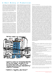# Short History of Productivism

working under - in a work-in-progress paper that Iagonson writes for INKhUK in January 1924, [7] he extols the virtues and success of the rationalization process he is involved in, as if emancipatory-Productivism's critique of the labour process was a luxury that inventor-Productivists, and any other applied-Productivists, couldn't afford. He lists a number of outcomes he has achieved at Prokatchik, the first of which reads: "The first concrete work of a  $konstruktor$ , and his first concrete achievements – the raising of the productivity of labour by 150%". [8]

No doubt some such automated dipping process needed to be introduced – at least to militate against injury and persistent poisoning of metal workers, as much as to increase efficiency. However, this is not what Arvatov and other Productivists – who in 1921-22 were stressing how better it was for artists to study at technical college than art school – would have wanted to hear: a Productivist artist contributing to Party-led rationalization shutting down factory debate on the labour process and workers' alienation! The response to the paper is unrecorded, but there is good evidence to assume that it would have chastened many Productivists, and perhaps would have confirmed some of Arvatov's reservations about the possibility of an emancipatory-Productivism operating under prevailing conditions in the factory system.

For, despite being identifiable with the artist's shift to the factory, Arvatov's writing in the 1920s on Productivism and Constructivism (collected in *Iskusstvo i proizvodstvo*. [*Art and Production*] in Moscow in 1926) is somewhat ambiguous about the factory as the foundational site of transformative practice. Like Alexsei Gan, Kushner and Brik, in the early 1920s he exhorts artists to move either into the factory or think of the factory as a potential locus for real transformative work on the relations between art and labour. But correspondingly he also sees the emancipatory effects of Productivism, broadly, as lying in artists and specialists taking collective control over technological and technical processes outside of the factory (as in new forms of architecture, urban development, transportation), as part of an expansion of artistic technique into environmental

technique and design. Moreover, in *Art and Production* in the essay 'Art in the System of Proletarian Culture' (1926) he widens the notion of the Productivist as an organiser of material structures and intersubjective flow of social processes to cover all social and cultural activities. The new Productivism will "invest artistic activity in everything". [9] Indeed the "proletarian artist must experience all material and want to organise it artistically, whether that be using noise in music, street jargon in poetry, iron and aluminium in arts and crafts, and circus tricks in the theatre". [10] This is clearly closer to a conventional (Constructivist) avant-gardism, than it is to the inventor-Productivism of Ioganson; and perhaps Ioganson wouldn't have recognised this position as Productivism at all, and maybe said as much to Arvatov, Brik and others. Consequently, it is revealing how fraught and intense the struggle over the relations of production had become for revolutionary artists who thought that the factory was the natural home, the only home, of art. Clearly as the NEP unfolded, and the NEP transformed into Stalinist collectivism the factory was a more intractable material problem than early Productivism had imagined. It is possible then that Ioganson's intervention at Prokatchik – the guinea pig of Productivism, we might call it on current evidence - actually confirmed this for many Productivists, particularly as the forces of reaction were consolidating their hold after the death of Lenin, making it highly dangerous for artists to assume any role in production, beyond the most perfunctory and affirmative contribution. The factory, as the imaginary link between art, labour and communism after 1927, therefore is increasingly off the cultural agenda for artists. What once was the possible crucible of 'free labour' becomes the redoubt of hierarchy and instrumental thinking. Indeed, with the demise, or withdrawal, of Productivism, the factory loses its identity as a kind of cultural unit, or place of cultural relations – and its key transformative role in the communist imaginary – to be replaced by various forms of revolutionary symbolism centred mostly away from the centrality of the factory on the progressive functions of the revolutionary state. This, essentially, is what constitutes the majority turn in LEF thinking to representational practices after 1925.



### **Factory-free Productivism**

Perhaps, then, factory Productivism is not the terminus of 'failed' revolutionary avant-gardism, at all. Rather, it is the site where art's vulnerability as praxis within the labour process is exposed to the inexorable demands of production, and as such exposes, philosophically and politically, art's relationship to productive labour to an important *limit condition*. Maybe Arvatov realised there could be no emancipatory-Productivism centred on the labour process distinct, that is, from art's place in the destruction of the alienation of the labour process itself. The actual revolutionary destruction of the labour process, though, was not on the Productivist agenda. Firstly, because of the chronic under-industrialisation of the Soviet economy and falling levels of productivity, but secondly, for artists and theorists to focus on the labour process under the NEP was to expose Soviet labour to the realisation that it is no less subject to the law of value (increased speed of production, technical division, and inter-enterprise competition) than labour in the capitalist West. Debates on the value-form are thus, largely glossed over in Productivism, certainly until the late 1920s after Trotsky's exile, when a state capitalist analysis of the Soviet Union gains a foothold within the Left Opposition, particularly in the labour camps. [11] As such, it is the absence of a discussion on the value-form that prevents Productivism asking the most obvious question of its revolutionary efforts: why intervene in the factory in the first place, given that what distinguishes the critical force of art is precisely its relative absence from the strictures of the value process. That is art, unlike productive labour, art is not subject overall to a process of socialised reproduction, even if it employs advanced technical means of reproducibility, such as photography. [12] This means that's art's 'free' labour – *all the way down* - is in a position to critique the determinate labour of the factory, as a reflection on the conditions of free labour itself, by demonstrating to determinate labour what is free labour. Why then subjugate the 'free labour' of art *to* the discipline of the value form? This is a crucial question, and is perhaps one of the reasons why emancipatory-Productivism, after the demise of historic avant-garde and the rise of the neo-avant-garde in the West, has tended to avoid work on and with the labour process: firstly it is too difficult (limited access; factory hierarchy; market constraints) and secondly the rewards are minimal, particularly in non-revolutionary situations. It is hard to think of any successful factory-based projects by artists indebted to emancipatory-Productivism after the 1920s. The nearest we get is the Tucumán Arde (Tucumán is Burning) collective in Argentina in the 1960s. However, their work was conducted largely in alliance with workers or ex-workers *outside* the factory. [13] Similarly, in the early 1970s the British Artists Placement Group managed to get inside a number of factories, but only to establish the most innocuous or ameliorative discussions between art and labour. Indeed what comes to shape and direct the memory of Productivism under the auspices of the neo-avant-garde after WW11 is a version of Arvatov's *secondary* Productivism – the expansion of artistic technique into environmental technique. This has largely been mediated through the debate on the 'everyday' via Henri Lefebvre, a debate that Arvatov, of course, was a major contributor to in the 1920s. [14] As a limit case of the avant-garde and of the potential transformative function of

art within the labour process, the emancipatory-Productivism of Ioganson, then, is highly instructive on why the factory has mostly disappeared as an imaginary site of praxis in advanced art over the last 80 years. In this respect the Iagonson's tenure in Prokatchik reveals the structural power of the law of value, and what Marx called the real subsumption of labour under its coercions. It reveals, therefore, what might and might not realistically taken into the factory and taken from the factory, and how artistic labour might and might not contribute to the critique of the value-form from inside the labour process.

### **Footnotes:**

1. For a discussion of Gastev, see Brandon Taylor, *Art and Literature Under the Bolsheviks, Vol 1, The Crisis of Renewal 1917-1924*, Pluto Press, London and Concord Mass., 1991

2. See Victor Margolin, *The Struggle for Utopia: Rodchenko, Lissitzky, Moholy-Nagy, 1917-1946*, University of Chicago, Chicago, 1997

3. Maria Gough, *The Artist as Producer: Russian Constructivism in Revolution*, California University Press, Berkeley and Los Angeles, 2005. In 1924 the factory rolled alloys and nonferrous metal and employed 196 workers.

4. Christina Kiaer, *Imagine No Possessions: The Socialist Objects of Russian Constructivism,* MIT Press, Cambridge Mass. and London, 2005

5. Boris Arvatov, *Kunst und Producktion* [1926], Karl Hanser Verlag, Munich, 1972 6. See Gough, *The Artist as Producer*, p177

7-8 Gough, p168

9. Boris Arvatov, *Kunst und Produktion*, op cit, p13

10. Boris Arvatov, ibid, p14

11. See Ante Ciliga, *The Russian Enigma*, Ink-Links, London, 1979

12. For a brief discussion of art's relative absence from the law of value, see Karl Marx, *Capital*, Vol 1, Lawrence & Wishart, London, 1970. For an extension of this analysis, see I.I. Rubin, *Essays on Marx's Theory of Value*, Black and Red, Detroit, 1972

"GEAFFITY BARKS BY TEMPORARY TE IN THE CITY. HERE, MY BODY IS THE ULTIMATE FRONTIES. THIS IS WH TATTOO MYSELF, TO MARK PERMA GEAFFITI INVADER

NGRAFFITI FAÇADES, SÃO PAULON

13. See Maria Teresa Cramuglio and Nicolás Rosa 'Tucumán is Burning' statement of the exhibition, in *Listen Here Now! Argentine Art of the Avant-Garde*, edited by Inés Katzenstein, The Museum of Modern Art, New York, 2004

14. For a defence of a quasi secondary-Productivist position, see Henri Lefebvre, *Critique of Everyday Life, Vol 11*: *Foundations for a Sociology of the Everyday*, translated by John Moore and Introduced by Michael Trebitsch, Verso, London and New York, 2002. And for a discussion of Aravtov and the earlier debate on the 'everyday' see John Roberts. *Philosophizing the Everyday: Revolutionary Praxis and the Fate of Cultural Theory*, Pluto Press, London 2006

*John Roberts is author who is based at the University of Wolverhampton and has published works on Marxist critiques of art and everyday, lives in London*

> Drawings by Marjetica Potrč from the series 'Patterns Project", 2007 (Drawing No.1 and 2 of 7)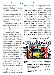*If facts destroy theory, then all the better for theory.*  Viktor Shklovsky, "In Defense of the Sociological Method," 1927

Any discussion of factography first has to deal with the conspicuous strangeness of the word "factography" itself, an awkward and selfconsciously technicist term coined in Russia in the latter half of the 1920s to designate a certain aesthetic practice preoccupied with the inscription of facts. Those who are familiar with contemporaneous avant-garde movements in other countries and who may also be skeptical of the early Soviet zeal for linguistic invention will wonder if factography is not simply another word for documentary.

Despite indisputable filiations between factography and practices outside of Russia which were similarly engaged in the project of chronicling modernization and its concomitant transformations to the conditions of human experience, there are critical distinctions to be made between the Soviet factographic avant-garde and documentary as it is traditionally conceived. The chief divergence is one of epistemological disposition: if the term "documentary," which was created in 1926 by filmmaker John Grierson came to designate work that strives to create the most objective depiction of reality possible, then this passive and impartial representational practice could not be farther from factography's ambitions. Indeed, Sergei Tret'iakov, the most famous figure in the movement, founded his entire praxeology on the notion of "operativity," on the claim not to veridically reflect reality in his work, but to actively transform reality through it. The objectivism of an indifferent documentary had no place in the interventionist practices of the factographers.

Although we can thus begin to posit certain differences between factography and conventional documentary impulses, hazarding a normative definition of the factographic genre presents additional problems. The movement's manifest preference for the photo-essay and other intermedial hybrids, for example, thwarts customary aesthetic classification and complicates attempts to delimit a coherent factographic style. Futurists by provenance, the factographers who published in the journal Novyi lef paid little heed to the traditional divisions between the arts. Tret'iakov, who worked as a photographer, prose author, dramatist, reporter, film scenarist, radio commentator, and lyrical poet, considered genre as a shifting and protean aspect of the art work that must be dynamically and expediently negotiated in the process of aesthetic production. For him, style and genre were not fixed values.

In this regard, the factographic conceptualization of genre is indebted to the model of cultural evolution described by Iurii Tynianov in his 1924 Lef essay "On the Literary Fact." [1] Because the dividing lines between genres are always shifting, because the territories of textual forms are constantly dislocating one another, Tynianov suggested, it is impossible to establish any fixed or immutable definition of genre. There is no generic "absolutism," as Nikolai Chuzhak wrote in 1929 in his introduction to the Lef anthology The Literature of Fact. Like Tynianov, the factographers viewed the aesthetic "fact" not as something apodictic and timeless, but as a phenomenon which

resulted from a procedure of cultural valorization. The members of Lef, in other words, understood factography not as a static genre, but as a mode of praxis. For them, the fact was the outcome of a process of production. The very etymology of the word fact, which comes from the Latin word facere — "to make" or "to do" (this derivation is also reflected in the French word le fait, the past participle of the verb faire)—bears witness to the fact's constructed nature. The fact is quite literally made.

That factography began to reach the apogee of its influence and methodological cogency around 1927, the year which Guy Debord later established as the inaugural year of the society of the spectacle, [4] is thus in no way incidental, for factographic practices presupposed a society on the cusp of the modern media age. In this society, where the distinction between the object and its image grew increasingly tenuous, the factographers understood acts of signification not as veridical reflections or reduplications of an ontologically more primary reality, but as actual and objective components of

While some would align the fact with the *Ding an sich* of Idealist philosophy, and others would equate it with objective matter, the stuff of ontological materialism, Tret'iakov rejected both the Scylla of noumenalism and Charybdis of phenomenalism, advocating instead a conception of the fact as an action, a process, an operation. His stance thus recalled the famous adage of Vico, verum factum: "the truth is an act." And so while it may be nearly impossible to specify steadfast stylistic or generic markers for factographic work, its modal and act-oriented practice nonetheless prompts an observation about its genealogy, namely, that factography was the immediate heir to the Soviet production art of the early 1920s. Both movements pursued an art whose task was not to reflect human experience, but to actively construct and organize it. Yet there was a pronounced divergence between first-generation production art and factography in the way that their practitioners understood experience. In an effort to correct the error of a nonutilitarian laboratory Constructivism that

kolkhozes, the first collective kitchens. . . . Just information in and of itself was interesting."[5] With so many cultural and technical revolutions occurring simultaneously, the Soviet Union in the 1920s was, to borrow Dziga Vertov's phrase, a "factory of facts." [6]

reduced the art work to a combinatory scheme made of conventional signs, production art recognized only the sensuous and somatic features of objects that were designed for everyday deployment; [2] and factography in turn challenged the onesided positivism of this production art by reincorporating into its conception of the object the symbolic and ideological systems that had been neglected by its predecessor. In this regard, factography can be understood as a sublation of laboratory Constructivism's formalist-structuralist logic and early production art's hypermaterialism. As Benjamin H. D. Buchloh demonstrated in his formative essay "From Faktura to Factography," the factographers engaged not just with physical and dimensional bodies, but also with bodies of collective social knowledge and networks of communication. [3]

Within this reorientation of artistic practices toward information and discourse, moreover, they conceived of signification not as a mere system of mimetic reflection, but as an act of productive labor. This sweeping reconceptualization of the relationship between work and semiosis belonged to a specific historical moment in the 1920s, that of the precipitate transformation of the Soviet Union into a modern media society. It is indeed impossible to comprehend the factographic project without taking into account the concurrent explosion of new media technologies and their attending mass cultural formations. This decade not only underwent a media revolution effected by the advent of radio broadcasting, the introduction of sound into film, and the photomechanical procedures which enabled the proliferation of the illustrated press, but it also witnessed the emergence of popular photography organizations, widespread literacy campaigns that drastically changed the lived relationship to language, and a workercorrespondent movement which aspired to transform the consumer of information into its author. New media became ordinary facts of life.

everyday, lived experience. The era that saw the closure of the gap between life and its representation challenged the Soviet avant-garde to develop models of production and manufacture that encompassed physical and psychic experience alike.

Although many elements within its program were articulated already by the mid-1920s, the dehiscence of the factographic movement in the final years of the decade coincided with the massive industrial prometheanism of the first Five-Year Plan, which was launched in 1928. This conjunction confirms a general pattern of historical consonance between industrialization campaigns and the documentary projects that intended to record and archive these transformations. For documentary enterprises have always been drawn to the sites of rapid modernization and social reorganization: consider the great photographic commission of the 1850s, the Mission Heliographique, one of whose tasks was to record Paris at the threshold of Haussmannization; or the lure of Germany's Ruhrgebiet for the New Objectivity journalists who regarded the industrial province as the epicenter of new cultural formations in the 1920s; or the photographic archive of the Farm Security Administration, which captured premodern, small-town America at the moment of its extinction during the era of the New Deal reforms.

Soviet factography was similarly fixated on colossal enterprises such as the organization of collective farms, the construction of the dam on the Dnepr River, or Magnitogorsk's feat of urban and social engineering. Within a single decade, a country that had been almost completely deindustrialized by the civil war became one of the most dramatic lessons in accelerated modernization. Looking back on that epoch, one Soviet reporter marveled that "everything was new, everything was for the first time. The first factories, the first

At the same time that we can infer a prevailing historical correspondence between modernization and a variety of documentary projects designed to record these transformations, we additionally note that, in the case of factography, the Five-Year Plan clearly contributed more than just content or thematics.

The factographers not only depicted the construction of factories and reorganization of society, but also actively participated in these changes by incorporating advanced technical methods and media into their own practices. In making the Five-Year Plan the foundation of their art, the members of Lef were not only witnesses to but also collaborators in the modernization of culture itself. Mayakovsky would summarize this strategy in a laconic poetological formula from 1927: "Less AKhRR, more industrialization." [7] Their sweeping reassessment of the technics of genre and their manufacture of innovative aesthetic "facts" commensurate with the new socialist reality belonged to a moment of radical transvaluation in the systems of signification. Seeking to recoordinate the symbolic codes of language and art with the new social configurations and forces of production that emerged in the postrevolutionary epoch, the Futurist factographers responded to the demand for a novel language that could not only designate the objects of socialist modernity but that could also give expression to the new human relations, institutions, and ideological principles that had come into being in the wake of 1917. From his 1923 "Art in the Revolution and the Revolution in Art" to his "The Writer and the Socialist Village" of 1931, so many of Tret'iakov's texts take as their point of departure the observation that factography both facilitated, and was itself conditioned by, a revolution in language.

In their struggle to industrialize and restructure the conventions of signication itself, in their pursuit of what the poet and scientist Aleksei Gastev called the "technification" of the word" [tekhnizatsiia slova], the factographers rejected the legacy of belles lettres and fine arts, and instead turned to science as the discursive basis for their work. In 1928 Tret'iakov, for example, proclaimed his agreement with a statement by a Komsomol member that "one technician is much more necessary than ten bad poets"; Tret'iakov moreover added that "we would be agreeable even to omitting the word 'bad'" from this statement. [8] For it



# Devin Fore /// Soviet Factography: Production Art in an Information Age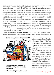was in applied technological and scientific methods that the factographers discovered a deautonomized and functionalist sphere of knowledge-production that promised to deskill obscurantist traditions of aesthetic creation and reorganize outmoded, artisanal conditions of authorship in accordance with collective methods of modern production.

Here we must point out, however, that the experimental science pursued by the factographers was quite dissimilar to the abstract calculus of Western rationalism. Unlike the latter, an idealist method that begins its inquiry with already reified theorems and ends by only reconfirming these hypotheses once again, factography was an inductive, epistemologically compromised science that took the absolute particular, rather than the universal, as its point of departure. By thinking through its objects rather than theorizing axiomatically about them, this empirical, sociological science reestablished points of contact between the chaotic contingency of material phenomena and the speculative logic of abstract cognition. Their efforts to redress the gap between abstract knowledge and lived quotidian existence situate the factographers within the current of "phenomenological Marxism," which thrived in the 1920s and which undertook the construction of what Oskar Negt and Alexander Kluge have described as a comprehensive "context of living" [Lebenszusammenhang][9]—a framework for human experience that is cognitively coherent yet experientially concrete and sensuous. An art of theorizing the unique specimen, of mediating fact and law, factography was an indexical art. The singularity and incommensurability of factographic work returns us again to the vexing question of factography as a genre. Since each object produced by the factographers represented a singular impression, the strategies presented by Futurist factography consequently had few, if any, generic precedents.

Unlike today's documentaries, which have in the era of reality television been exhaustively consolidated into a recognizable style that signifies authenticity and immediacy, in the 1920s these techniques had not yet been codified as an established set of reality effects. The plurality of names by which this practice was designated in the Soviet Union—factography, reportage, factism, documentarity— suggest that there was no single methodology or conceptual model that could encompass all of the manifestations of this tentative practice. Hence Georg

apostate of reportage Joseph Roth observed from Germany in 1930 that the "current Russian literature is in fact, with few exceptions, a collection of material for cultural historians," and nothing more. [15]

Lukacs's disdainful characterization of documentary in 1932 as an "experiment in form" [Formexperiment].[10] Using a phrase from one of Laszlo Moholy-Nagy's essays, we could describe the photographic work of the members of Lef as "unprecedented" [beispiellos].[11] The literary texts of the factographers, each of which was similarly an equivalent only to itself, assumed the form of the ocherk, a prose genre that was part scientific inquiry, part literary composition, and whose closest approximates in the Western European tradition would be the essay or the short sketch. And yet we should be circumspect about describing the ocherk as a genre at all, as Tret'iakov cautioned in his prefatory remarks to a talk about the ocherk, which he delivered in Moscow in 1934: "I don't want to use the word 'genre' here, even though I can't find a different word. The ocherk is not a genre. The ocherk is a great movement. You have dozens of diverse genres there an intersection of strata, as they say in geology. The ocherk is located at the point of contact between artistic literature and the newspaper."[12]

Perennially "in search of the present tense," [16] these projects engaged operatively in their own historical moment and expired with the passage of the reality to which these interventions corresponded. But insofar as they uncover a forgotten response to the media of modernity, these fossils possess a certain archaeological value for us. They return us to a critical juncture in the development of spectacle society and point out a path that was not taken: in contrast to the technological determinism that today increasingly dominates contemporary theoretical perspectives on the media, factography insisted that these media are historically variable constructions that are the precipitates of concrete social and political systems; and against the positivist approaches that currently underwrite this determinism, factography recalls a moment when technologies of representation such as photography did not constitute a discrete medium or a stable genre. The case of factography reminds us that the information media which continue to structure experience to this

Indeed, Tret'iakov's remarks on the volatility of the ocherk as a literary category resonate with comments that Benjamin made in Paris the same year, when he suggested that the Soviet newspaper had set a "mighty recasting of literary forms" in motion. [13] The ocherk

> 2. On first-generation production art, see Christina Kiaer, Imagine No Possessions: The Socialist Objects of Russian Constructivism (Cambridge, Mass.: MIT Press, 2005).

was in this regard the perfect literary analogue to the "unprecedented" snapshot, a constitutionally minor form that resisted generic classification and that, indeed, destroyed the very conditions of the discrete aesthetic medium. Somewhere between science and literature, this "experiment in form" could be more accurately described as a rhetorical practice than as an identifiable class of aesthetic work. Given the deliberate mutability and ephemerality of its compositions, it is apt that this "literature of becoming," as Chuzhak called factography, produced no masterpieces and no canon. Scarcely fit for monumentalization, the presentist ocherk "expires quickly," Shklovsky noted, and "can't survive past its own moment."[14]

So what is left of the factographic movement today? A prodigious number of documents and records, a scattered collection of works which have been largely ignored by students of the great movements in fine arts and belles lettres. Already anticipating this future disinterest of scholars, the



Dismissive as Roth's remark is, it nonetheless quite accurately portrays the encyclopedic ambitions of the factographic program: Tret'iakov demanded that every single corner of the country be scrutinized and documented by the masses of workercorrespondents; Maksim Gorky called for the production of 10,000 biographies of Russians, chronicles of the quotidian lives of typical, even unremarkable, citizens; and Aleksandr Rodchenko proposed that individuals' lives be captured in an open-ended photographic archive that would be composed of an infinite number of momentary snapshots. Like Borges's story about a seventeenth-century cartographer who tried to create a map of the Empire that was the exact size of the kingdom itself—a sprawling representation of the world that coincided at every point with it—the factographers went about constructing a vast archive that was coextensive with reality itself.

day are in no way ontological givens, but are themselves generated through operative acts of congitive and perceptual labor. A production art fit for a media age, Soviet factography shows us that the consumption of information is never simply a passive act.

This text is a slightly edited version of the introduction to OCTOBER 118, Fall 2006, pp. 3–10. © 2006 October Magazine, Ltd. and Massachusetts Institute of Technology.

### Footnotes:

1. Iurii Tynianov, "The Literary Fact," in Modern Genre Theory, ed. David Duff, trans. Ann Shukman, (London: Longman, 2000), pp. 29–49.

3. Benjamin H. D. Buchloh, "From Faktura to Factography," October 30 (Fall 1984), pp. 82–119.

4. Guy Debord, Comments on the Society of the Spectacle, trans. Malcolm Imrie (London: Verso, 1990), p. 3.

5. E. Mikulin, "Gody i dni," quoted in L. A. Az'muko, "Eshche raz o 'literature fakta' (K voprosu ob evoliutsii teoreticheskikh vzgliadov S. M. Tret'iakov vo vtoroi polovine 20–kh godov)," in Problemy stanovleniia sotsialisticheskogo realizma v russkoi i zarubzhenoi literature, ed. N. V. Kovrigina (Irkutsk: 1972), p. 59.

6. Dziga Vertov, "The Factory of Facts," in Kino-Eye: The Writings of Dziga Vertov, ed. Annette Michelson (Berkeley: University of California Press, 1984), p. 59.

7. Vladimir Mayakovsky, "Tol'ko ne vospominaniia," Novyi lef, nos. 8–9 (1927), p. 38. AKhRR was the acronym for the Association of Artists of Revolutionary Russia, an organization of artists who depicted revolutionary thematics with techniques borrowed from the critical realists of the nineteenth century.

8. Sergei Tret'iakov, "Happy New Year! Happy New Lef!," in Russian Futurism Through Its Manifestoes, ed. Anna Lawton and Herbert Eagle (Ithaca, N.Y.: Cornell University Press, 1988), p. 267.

9. See Oskar Negt and Alexander Kluge, Public Sphere and Experience: Toward an Analysis of the Bourgeois

and Proletarian Public Sphere, trans. Peter Labanyi et al. (Minneapolis: University of Minnesota Press, 1993).

10. Georg Lukacs, "Reportage or Portrayal?," in Essays on Realism, ed. Rodney Livingstone (Cambridge, Mass.: MIT Press, 1980), p. 59.

11. Laszlo Moholy-Nagy, "Unprecedented Photography," trans. Joel Agee, in Photography in the Modern Era: European Documents and Critical Writings, 1913– 1940, ed. Christopher Phillips (New York: Metropolitan Museum of Art, 1989), pp. 83–85.

12. Tret'iakov's talk at the Vsesoiuznoe soveshchanie po khudozhestvennomu ocherku, RGALI, f. 631, o. 1, d. 70–73, p. 18.

13. Walter Benjamin, "The Author as Producer," in Selected Writings, Volume 2: 1927– 1934, ed. Michael W. Jennings et al., trans. Rodney Livingstone et al. (Cambridge, Mass.: Harvard University Press, 1999), p. 771.

# "FACADES ARE NOT DRESSES LIPSTICK . THEY ARE ORGANS.

NPAINTED FACADES, TIRANAN

14. Viktor Shklovsky, Poiski optimizma (Moscow: Izd-vo Federatsiia, 1931), p. 4. 15. Joseph Roth, "Schluss mit der 'neuen Sachlichkeit'!," in Das journalistische Werk 1929–1939, vol. 3 of Werke, ed. Klaus Westermann (Cologne: Kiepenhauer and Witsch, 1989), p. 159.

16. This was the title of one of Boris Agapov's ocherki, which was reprinted in his Tekhnicheskie rasskazy (Moscow: Izd-vo Khudozhestvennaia literatura, 1936).

*Devin Fore is Assistant Professor in the German department at Princeton University, where he is also an associate faculty member of the Slavic Department and an afliated faculty member of the program in Media + Modernity. Fore is completing work on two books: the first, Realism's Revenants, examines New Objectivity and related forms of mimetic realism in German literature and art during the interwar period; the other, All the Graphs, is a critical analysis of Soviet factography that focuses on the work of the operative writer Sergei Tret'iakov. He is currently a fellow at the American Academy in Berlin.*

> Drawings by Marjetica Potrč from the series 'Patterns Project'', 2007 (Drawing No.3 and 4 of 7)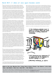## Authors of this issue: Marjetica Potrc | Alexey Penzin & Dmitry Vilensky | Igor Chubarov | Lolita Jablonskiene | John Roberts | Devin Fore | David Riff | Keti Chukhrov

This issue of "Chto delat" is published on the occasion of the exhibition project realised by Chto Delat workgroup 'Plug In #51: Activist Club' at the Van Abbemuseum, Eindhoven VanabbemuSeum

Editor of the issue: Dmitry Vilensky /// lay-out: DV & Tsaplya /// translations: (Russian - English): Thomas Campbell

1.

When we ask "what is the use of art?" today, it immediately sounds like an admission of ontological guilt. Aesthetic enjoyment, still the use of art par excellence, is nowhere to be found, at least not in its messianic form. Art is generalized into production and now works on a much more modest scale; sometimes it makes people think, sometimes it makes them smile, sometimes it makes them ask the right questions, and that's all we should aim for, right?

Wrong. Because it gets much worse. Since the early 20th century, it has been clear that the commodity *really* is in the process of subsuming everyday life, and this was generally understood as a challenge to the use of art from two different sides. On the one hand, you had the radical leveling of all art through the commodity form. Money, the great matchmaker, is indifferent to art's many uses. In the mute world of commodities, where all human labor is equal, the singularity of aesthetic experience makes no particular difference; all artworks mirror one another. This is why it becomes possible to use a Rembrandt as an ironing board. Art is something you bump into while you're thinking about money. That produced the strange non-objectivity or emptiness at the very heart of all the things we perversely love. Art becomes a foreign entity that leaves us - its producers - non-objective, bereft of the very skin on our backs. All we can do is mime this non-objectivity, reproducing an aura of wry disengagement and haughty uselessness.

On the other hand, the rationalization of industrial production - be it in order to reestablish and heighten revenue in an age of imperial crisis or to modernize and lethally disambiguate unevenly developed mixed economies - created an economic and social demand for new experimental uses of mimetic and aesthetic functions that art traditionally limited to the studio and the salon. Art was to generalize aesthetic enjoyment, making itself truly useful in all fields, and redefining the very terms of use in the process. The point was not to turn a Rembrandt into an ironing board, but to create ironing board that could be just as aesthetically meaningful as a Rembrandt, thus redefining ironing as an aesthetic activity, freeing it from the drudgery of reproduction, and unleashing the productive force of the universalized creativity of human species-being. That would be a facto-graphic creativity: it would tell its own story as a concrete reality, reconstituting a new objectivity with plenty of room for contradiction. But the messianism of this idea backred; it became accomplice to the cataclysmic implementation of Fordism, and created the sites of its post-Fordist reload. And by now, it is fetishized as the peculiar (and often highly contradictory) "consciousness" or "spirit" of the avant-garde, as far from us as the art of ancient Greece.

Take, for example, the theory of the "comrade thing," any artstudent's ideal companion. The theory of the comrade thing, as articulated in the period immediately following laboratory constructivism, projected a subject-object whose use is not self-cannibalism (as Marx describes consumption under the regime of private property in his early texts), but mutual use, nonalienated utility that produces only one thing, namely truth. Today's comrade-thing, at least potentially, is the personal computer, a multifunctional object that goes well beyond anything the boldest communist futurists ever imagined (and that is including Khlebnikov's "world radio")

It is not techno-messianism to realize that the computer is a gateway to any number of texts, textures, and forms, reproductions that we must enjoy in search of their lost original, and not just a production site in the post-Fordist panopticum. Our comrade-thing allows us to have

Usually, the availability of this legacy represents that possibility of contemplation and genuine aesthetic enjoyment in the midst of the endless workday. It expresses the idea that Rembrandt need not be an ironing board, but can simply be Rembrandt, even in the age of digital reproduction. But there is nothing contemplative about teaching ourselves how to look at such paintings; we inevitably use the optics of the reciprocal readymade to brush history against the grain. It is here that we discover an "aesthetic of resistance" beyond contemplation; we see that all art tells not only the heroic story of money and power, but always also contains an unconscious communism, a self-idenity of the senses, an emancipative experience that carries down through its conflicted folds.

There is another problem. Actually, contemporary art has not killed but heightened all the avant-grade's contradictions. Art is more useful than ever, *though not to us*. The culture industry produces unpreceded amounts of fast moving ideological commodities, in part by co-opting armies of critical-minded, quasi-politicized amateurs, and introducing them to an endless workday of the professional audience. Audiences flood to biennials to gain new subjectivity-sensuality-responsibility (these are the key services we provide) that they then reproduce on a lower level. This is the new Proletkult, but one biopolitically advantageous to the elite. It resubsumes any political resistance and forges a new experimental ethic or spirit for white collar workers. Strangely enough, aesthetic enjoyment - as I said, the use of art par excellence - is key to this "creative" neo-Stakhanovite identity because it insists that there is, in the endless workday, still a space for contemplation and that this contemplation is somehow productive (perhaps precisely because it is the last bastion of political being). This space for contemplation within the endless workday is then frozen, taken out of use, and marked up as an object for the elite, to be recycled as a glamorous backdrop for the VIP lounge. And that is contemporary art, always a small catastrophe. This hopefully still makes us ask: what is going on here? How did it come to this? How can we fight against this negativity? Which useful definition of art could we design? Must we abandon the idea of aesthetic enjoyment once and for all, or must we, on the contrary reclaim it?

### 2.

One way to resist the idea of art's uselessness is to understand that WE are all productivists, factographers, muralists, biographers of things and worker-correspondents. We are living in an age of the total internalization of the production line, its domestication in the home-office, where we work day and night without stopping. And that does not just mean that we are working with instruments captured from communists in a bourgeois factory (that is always the case), but that we have at our disposal a toolbox that we can reclaim with a minimum of effort.

phone sex with lovers even if they are very far away. It allows us to reproduce endlessly, and, when we are done, to consume lofi copies of Hollywood movies and sitcoms. The world of Google, Skype, and Wikipedia is not just a tool, but actually allows us to inhale massive doses of culture, providing unprecedented levels of access to classics that were previously guarded jealously as part of the ruling class' victory parade. The paradox is that the elite is busy with contemporary art, for which it reclaims a status of auratic singularity, a secular cult status fixed to one place and one time. Even for professionals, access to this generalized, neverchanging "new" is always limited. But the classics are just out there online, requiring a minimum effort to be found and cracked. This extends far beyond the avant-garde, and includes the entire history of art, including the disputed legacy of realism.

We see this weak messianism as a material force because we realize that mimesis, even in a state of slavery, cannot help but tell the truth about itself and the contradictions of its time, and that this helpless urge to tell the truth can be brought to consciousness. It is this coming to consciousness that seems so politically important today; the object of our critique comes back into focus, and the political mimesis of criticality - otherwise generalized, blurred, and romantic - moves from the abstract to the concrete. This is the moment when art once again becomes useful, no longer just a mimetic resonator, but as a medium for truth in its sensual form.

*David Riff - art critc, translator, writer, founding member of Chto Delat workgroup, lives in Moscow* 

## IT HAS HATPENED BEFORE, WHAT IS SHOWN IN TIRANA TODAY WAS ALSO REALIZED IN EARLY MODERNIST INTERIORS.



# "LET'S PERSONALIZE MODERNIS! LE CORBUSIER ON HIS MURAL EILEEN GRAY'S E-1027 I PAINTED INTERIOR, E - 1027~

# David Riff /// when art once again becomes useful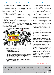**инфо и другие тексты на сайте | see more texts** at www.chtodelat.org >>> chtodelat online journal /// contact: info@chtodelat.org / dmvilen@gmail.com

## **many thanks to:** all the artists, authors, translators and friends who supported this publication.

the graphics of this issue is made by Marjetica Potrč and is part of the series: 'The Future is Now", 2005 (series of 10 drawings, each 21 x 29,7cm, Ink on paper) Collection of Gary L. Wasserman, Naples, Florida; "Pattern Protects", 2007 (7 drawings 21 x 29,7cm, Ink on paper) and "Homo Ludens", 2008 (7 drawings 21 x 29,7cm, Ink on paper). Courtesy the artist and Galerie Nordenhake, Berlin/Stockholm

**Платформа «Что Делать?»** - это проект, создающий пространство взаимодействия между теорией, искусством и активизмом. Работа платформы осуществляется через сеть коллективных инициатив.



Founded in early 2003 in Petersburg, **the platform "Chto delat?"** is a collective initiative that is aimed at creation and developing a dialogue between theory, art, and activism and about the place of art and poetics in this process.

# Keti Chukhrov /// On the Use and Harm of Art for Life

In the twenty-first century, each of these vectors seems to have run its course. Why? Because in the near future we will be more and more often confronted with the retreat of art from the places we traditionally have found it—concert halls, museums, theaters, galleries, etc.—and its reappearance in arbitrary, unpredictable places.

It is a commonplace that art is useless, that art is not utilitarian. This is in fact the case. However, art's antiutilitarianism often implies elitism, while, on the contrary, the resistance to elitism often results in the instrumentalization of art, in the application of its idioms towards one or another practical end.

Many cultural and intellectual figures accuse succeeding generations of a lack of culture and memory. This, no doubt, is quite often the case. But if we take a closer look at these "omniscient" devotees of culture and art, we will discover their flagrant cultural and artistic ignorance—of course, that is, if we hold art and culture to be a history of humanity's

In the former case, art turns into a sacred institution for the chosen few. In the latter, it functions as a form of social therapy or cultural production.

This means it will no longer be necessary to report back to the high priests of various artistic guilds and, therefore, to present oneself in those representative places where legitimation in literature, music, theater, and art is conferred.

I have no wish to affirm that one should know and remember everything. It is just that, if this is impossible, then we should not pass off the machinery of cultural circulation for memory. There is the domain of culture; there are scholarly studies that expand the archive. But there is no such thing as universal cultural memory. This is because memory belongs to the individual, and the individual will remember mainly what she finds meaningful, whether that is Dante, Shakespeare, the Wanderers or Ferdowsi's *Shāhnāmeh*. And that is why culture is not universal. Its archive is enormous, but it remains captive to particulars.



"IT'S NOT ABOUT MODERNISM, IT'S ABOUT US !" TIRANA RESIDENT

"I NAKE INSELF DIFFERENT FROM ANIMALS **MINTING PA** ON MY BOD

creative breakthroughs, not narrow professional mastery. We will find that musicians know nothing of contemporary art; that contemporary artists have no clue about the history of music or the history of painting; that writers are unacquainted with philosophy, while philosophers have no faith that real art continues to be made. (This is not to mention so-called professional writers, composers, artists, and actors. These Neanderthals are in need not only of education, but also of medical treatment.)

In other words, there is no scholar, historian or critic of art who knows art in general, as a totality. Such figures as Hegel, Benjamin, and Adorno aspired to this kind of knowledge, but even they had their limitations. For example, Hegel and Benjamin had little understanding of music, while Adorno in all likelihood had a poor grasp of photography, cinema, and the contemporary art scene.

The miracle is that art has access to this kind of universality. Unlike culture, art has the potential to seize all potentialities. Because it takes for granted the existence of many different expressive idioms, it is greater than and superior to these idioms. It is entirely possible that art has now reached the stage of emancipation from the fetters of genre and craft. But I don't at all have in mind a *Gesamtkunstwerk*.

Deleuze and Guattari gave a precise description of this universal potential in *Anti-Oedipus*: *[P]ure positive multiplicities where everything is possible, without exclusiveness or negation, syntheses operating without a plan, where the connections are transverse, the disjunctions included, the conjunctions polyvocal, indifferent to their underlying support, since this matter that serves them precisely*  as a support receives no specificity from any structural or personal unity, but appears as the body without organs that fills the space each time an intensity fills *it; signs of desire that compose a signifying chain but that are not themselves signifying, and do not answer to the rules of a linguistic game of chess, but instead to the lottery drawings that sometimes cause a word to be chosen, sometimes a design, sometimes a thing or a piece of a thing.* Such is their immanent analysis of the creative process.

This is exactly how it is: creative inspiration is a lottery in which one thing, and then another pops out, for everything is given. Everything is given to everyone. Art is not situated in genre, method, artwork or the consciousness of a particular "artist," but in the space between everything and everyone. The selection will no longer be made the way we traditionally imagine it—via the construction of the artistic product from a combination of the conceptual, the aesthetically beautiful, the politically problematic, the personally lyrical, the stylistically fine-tuned, and (most important) the generically determinate. This is when poetry can consist only of verbal components and cannot intermingle with song or cinema; when sculpture must not recombine dynamically with elements of choreography or actionism; when dance cannot be a concept, and video cannot be combined with acting, etc.

No. The choice will be made in the artistic mode of human beings, in that way and to that degree that it is potentially open to each individual, and to the extent to which previously incompatible things and signs—images, sounds, video recordings, speech, reflections, acting, song—can be accommodated within this choice.

Professional communities and institutions of success and careerist accumulation, which stifle the possibility of creative risk and experiment, obstruct the recognition of this reality. The role of such a stifling "guild" is often played by the presumption that a strictly observed continuity of artistic experience exists—who inherits what from whom. We need to forget all these fantasies. There is no need to toss anyone or anything from the steamship of contemporaneity. We simply need to understand that everything is given to everyone. Otherwise, the existence of life on earth has no meaning.

And the history of culture is not a universal given, but merely a barrier erected to keep out all these masses. For it is this defensive scab that either profanes all the great art produced before our time by calling for a postmodernist mingling of the intensive, the heroic, the half-baked, and the petit-bourgeois; or, on the contrary, turns the history of art into a moribund archive and a mausoleum. For art, these conservative institutions and positions are the same thing as the institution of monarchy for a society. Warhol, Beuys, Guy Debord and the Situationists—to different degrees, under different conditions, and, perhaps, operating with different (not always compatible) worldviews—already foresaw the potential of art's universal openness. (Beuys, for example, had the ontological and political openness of art in mind when he said that anyone could be an artist. He likewise proved the world's variety and difference could penetrate the work of art.) However, their prophecies were quickly overturned by the valorizing gestures of contemporary art, and hence all these aspirations reappeared as the selfrepresentation of an exclusive individuality.

Nowadays, despite the sheer number of cultural institutions, the quantity of artistic potentials that can be thought within them is quite meager.

Therefore, of course, while we have to use the funds and capacities of these institutions, we should not do so at the price of losing a multiple perspective on the world and castrating unpredictable creative processes, the possibilities and multiplicities in whose absence art becomes barren. We have entered open waters. Full steam ahead.

# ---**NASHANINKAS MEET THEIR WEST** BALKAN ALLIES~

*Keti Chukhrov is a poet, philosopher, and art critic. She lives in Moscow.* 

Drawings by Marjetica Potrč from the series 'Patterns Project", 2007 (Drawing No.6 and  $7$  of  $7$ )

> **Printing:**  Dijkman Offset, Diemen